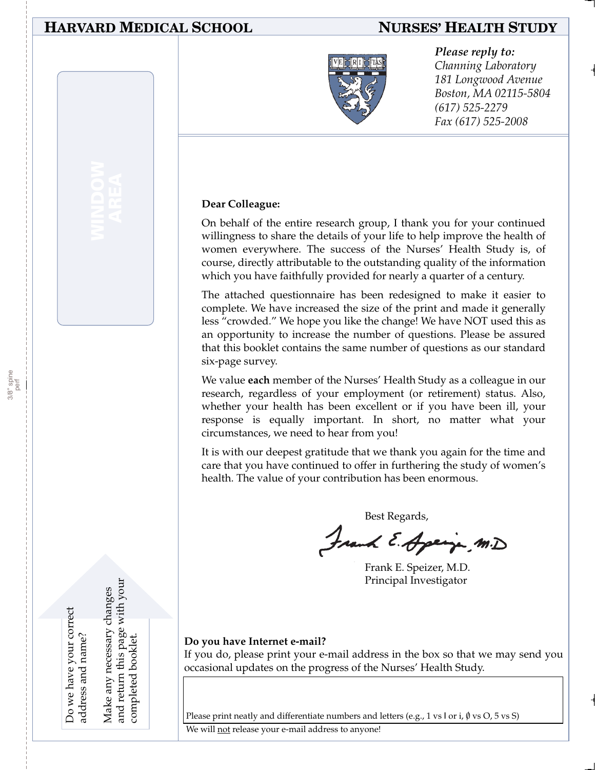#### **HARVARD MEDICAL SCHOOL NURSES' HEALTH STUDY**



#### *Please reply to:*

*Channing Laboratory 181 Longwood Avenue Boston, MA 02115-5804 (617) 525-2279 Fax (617) 525-2008*

#### **Dear Colleague:**

On behalf of the entire research group, I thank you for your continued willingness to share the details of your life to help improve the health of women everywhere. The success of the Nurses' Health Study is, of course, directly attributable to the outstanding quality of the information which you have faithfully provided for nearly a quarter of a century.

The attached questionnaire has been redesigned to make it easier to complete. We have increased the size of the print and made it generally less "crowded." We hope you like the change! We have NOT used this as an opportunity to increase the number of questions. Please be assured that this booklet contains the same number of questions as our standard six-page survey.

We value **each** member of the Nurses' Health Study as a colleague in our research, regardless of your employment (or retirement) status. Also, whether your health has been excellent or if you have been ill, your response is equally important. In short, no matter what your circumstances, we need to hear from you!

It is with our deepest gratitude that we thank you again for the time and care that you have continued to offer in furthering the study of women's health. The value of your contribution has been enormous.

Best Regards,

Frank E. Apeija, M.D

Frank E. Speizer, M.D. Principal Investigator

Do we have your correct Do we have your correct address and name? address and name?

and return this page with your and return this page with your Make any necessary changes Make any necessary changes completed booklet. completed booklet

**Do you have Internet e-mail?**

If you do, please print your e-mail address in the box so that we may send you occasional updates on the progress of the Nurses' Health Study.

Please print neatly and differentiate numbers and letters (e.g., 1 vs l or i,  $\emptyset$  vs O, 5 vs S)

We will not release your e-mail address to anyone!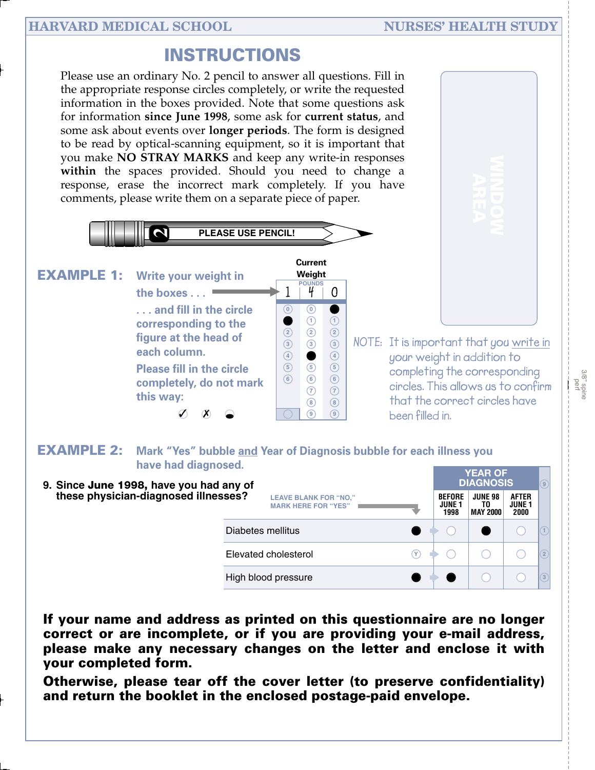## **INSTRUCTIONS**

Please use an ordinary No. 2 pencil to answer all questions. Fill in the appropriate response circles completely, or write the requested information in the boxes provided. Note that some questions ask for information **since June 1998**, some ask for **current status**, and some ask about events over **longer periods**. The form is designed to be read by optical-scanning equipment, so it is important that you make **NO STRAY MARKS** and keep any write-in responses **within** the spaces provided. Should you need to change a response, erase the incorrect mark completely. If you have comments, please write them on a separate piece of paper.





#### **EXAMPLE 2: Mark "Yes" bubble and Year of Diagnosis bubble for each illness you have had diagnosed.**

| 9. Since June 1998, have you had any of                                                            |                                        | <b>YEAR OF</b><br><b>DIAGNOSIS</b>      | $\circledcirc$                 |                  |
|----------------------------------------------------------------------------------------------------|----------------------------------------|-----------------------------------------|--------------------------------|------------------|
| these physician-diagnosed illnesses?<br><b>LEAVE BLANK FOR "NO,"</b><br><b>MARK HERE FOR "YES"</b> | <b>BEFORE</b><br><b>JUNE 1</b><br>1998 | <b>JUNE 98</b><br>TO<br><b>MAY 2000</b> | <b>AFTER</b><br>JUNE 1<br>2000 |                  |
| Diabetes mellitus                                                                                  |                                        |                                         |                                |                  |
| Elevated cholesterol                                                                               |                                        |                                         |                                | (2)              |
| High blood pressure                                                                                |                                        |                                         |                                | $\left(3\right)$ |

**If your name and address as printed on this questionnaire are no longer correct or are incomplete, or if you are providing your e-mail address, please make any necessary changes on the letter and enclose it with your completed form.**

**Otherwise, please tear off the cover letter (to preserve confidentiality) and return the booklet in the enclosed postage-paid envelope.**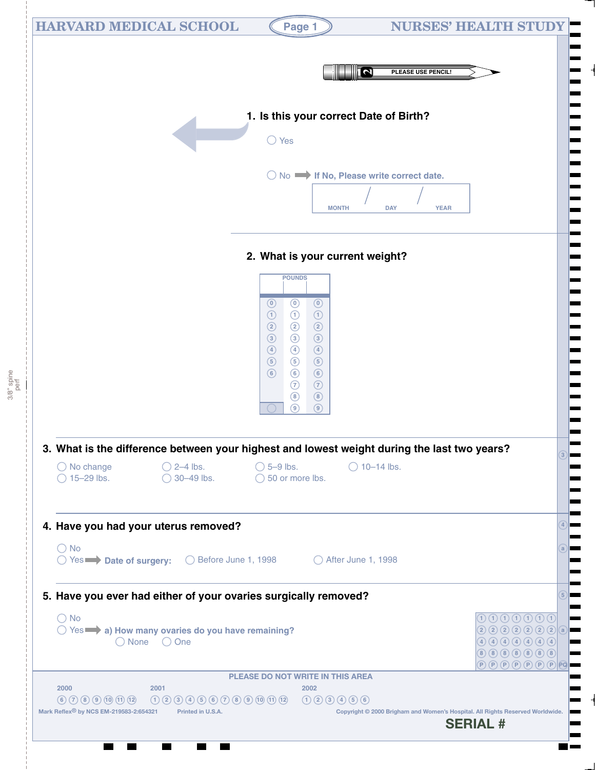| <b>HARVARD MEDICAL SCHOOL</b>                                                                                                                                                                | Page 1                                                                                                                                                                                                                                                                                                                                                                                                                              |                                               | <b>NURSES' HEALTH STUDY</b>                                                                                                                                                                                                                                                                                                                                                                                                                                                                                                                                                                                                                                                                                                                                                                                                                                                                                                                                                                                                                                                                                                                                                                                                                                          |
|----------------------------------------------------------------------------------------------------------------------------------------------------------------------------------------------|-------------------------------------------------------------------------------------------------------------------------------------------------------------------------------------------------------------------------------------------------------------------------------------------------------------------------------------------------------------------------------------------------------------------------------------|-----------------------------------------------|----------------------------------------------------------------------------------------------------------------------------------------------------------------------------------------------------------------------------------------------------------------------------------------------------------------------------------------------------------------------------------------------------------------------------------------------------------------------------------------------------------------------------------------------------------------------------------------------------------------------------------------------------------------------------------------------------------------------------------------------------------------------------------------------------------------------------------------------------------------------------------------------------------------------------------------------------------------------------------------------------------------------------------------------------------------------------------------------------------------------------------------------------------------------------------------------------------------------------------------------------------------------|
|                                                                                                                                                                                              |                                                                                                                                                                                                                                                                                                                                                                                                                                     | $\overline{\mathsf{N}}$<br>PLEASE USE PENCIL! |                                                                                                                                                                                                                                                                                                                                                                                                                                                                                                                                                                                                                                                                                                                                                                                                                                                                                                                                                                                                                                                                                                                                                                                                                                                                      |
|                                                                                                                                                                                              | 1. Is this your correct Date of Birth?                                                                                                                                                                                                                                                                                                                                                                                              |                                               |                                                                                                                                                                                                                                                                                                                                                                                                                                                                                                                                                                                                                                                                                                                                                                                                                                                                                                                                                                                                                                                                                                                                                                                                                                                                      |
|                                                                                                                                                                                              | $\bigcirc$ Yes                                                                                                                                                                                                                                                                                                                                                                                                                      |                                               |                                                                                                                                                                                                                                                                                                                                                                                                                                                                                                                                                                                                                                                                                                                                                                                                                                                                                                                                                                                                                                                                                                                                                                                                                                                                      |
|                                                                                                                                                                                              | $\bigcirc$ No $\longrightarrow$ If No, Please write correct date.<br><b>MONTH</b>                                                                                                                                                                                                                                                                                                                                                   | <b>DAY</b><br><b>YEAR</b>                     |                                                                                                                                                                                                                                                                                                                                                                                                                                                                                                                                                                                                                                                                                                                                                                                                                                                                                                                                                                                                                                                                                                                                                                                                                                                                      |
|                                                                                                                                                                                              | 2. What is your current weight?                                                                                                                                                                                                                                                                                                                                                                                                     |                                               |                                                                                                                                                                                                                                                                                                                                                                                                                                                                                                                                                                                                                                                                                                                                                                                                                                                                                                                                                                                                                                                                                                                                                                                                                                                                      |
|                                                                                                                                                                                              | <b>POUNDS</b><br>$\odot$<br>$\odot$<br>$\odot$<br>$\odot$<br>$\odot$<br>$\odot$<br>$\circled{2}$<br>$\circled{2}$<br>$\circled{2}$<br>$\circled{3}$<br>$\circled{3}$<br>$\circled{3}$<br>$\bigcirc$<br>$\bigcirc$<br>$\bigcirc$<br>$\circled{5}$<br>$\circled{5}$<br>$\circled{5}$<br>$\circledcirc$<br>$\circledcirc$<br>$\circledcirc$<br>$\odot$<br>$\odot$<br>$\circledS$<br>$\circledcirc$<br>$\circledcirc$<br>$\circledcirc$ |                                               |                                                                                                                                                                                                                                                                                                                                                                                                                                                                                                                                                                                                                                                                                                                                                                                                                                                                                                                                                                                                                                                                                                                                                                                                                                                                      |
| 3. What is the difference between your highest and lowest weight during the last two years?<br>$\bigcirc$ 2–4 lbs.<br>$\bigcirc$ No change<br>$\bigcirc$ 15-29 lbs.<br>$\bigcirc$ 30-49 lbs. | $\bigcirc$ 5-9 lbs.<br>$\bigcirc$ 50 or more lbs.                                                                                                                                                                                                                                                                                                                                                                                   | $\bigcirc$ 10-14 lbs.                         |                                                                                                                                                                                                                                                                                                                                                                                                                                                                                                                                                                                                                                                                                                                                                                                                                                                                                                                                                                                                                                                                                                                                                                                                                                                                      |
| 4. Have you had your uterus removed?<br>$\bigcirc$ No<br>$\bigcirc$ Yes $\longrightarrow$ Date of surgery:                                                                                   | ◯ Before June 1, 1998 ◯ After June 1, 1998                                                                                                                                                                                                                                                                                                                                                                                          |                                               |                                                                                                                                                                                                                                                                                                                                                                                                                                                                                                                                                                                                                                                                                                                                                                                                                                                                                                                                                                                                                                                                                                                                                                                                                                                                      |
| 5. Have you ever had either of your ovaries surgically removed?                                                                                                                              |                                                                                                                                                                                                                                                                                                                                                                                                                                     |                                               |                                                                                                                                                                                                                                                                                                                                                                                                                                                                                                                                                                                                                                                                                                                                                                                                                                                                                                                                                                                                                                                                                                                                                                                                                                                                      |
| $\bigcirc$ No<br>◯ Yes a) How many ovaries do you have remaining?<br>○ None ○ One                                                                                                            |                                                                                                                                                                                                                                                                                                                                                                                                                                     |                                               | $\begin{array}{cccccccccc} \textcircled{1}\textcircled{1}\textcircled{1}\textcircled{1}\textcircled{1}\textcircled{1}\textcircled{1}\textcircled{1} \end{array}$<br>(2) 2) 2) 2) 2) 2) 2) 2) 6)<br>$\textcircled{4} \textcircled{4} \textcircled{4} \textcircled{4} \textcircled{4} \textcircled{4} \textcircled{4}$<br>$\begin{picture}(60,6) \put(0,0){\line(1,0){10}} \put(15,0){\line(1,0){10}} \put(15,0){\line(1,0){10}} \put(15,0){\line(1,0){10}} \put(15,0){\line(1,0){10}} \put(15,0){\line(1,0){10}} \put(15,0){\line(1,0){10}} \put(15,0){\line(1,0){10}} \put(15,0){\line(1,0){10}} \put(15,0){\line(1,0){10}} \put(15,0){\line(1,0){10}} \put(15,0){\line(1,$<br>$\textcolor{red}{\textcolor{blue}{\mathbf{\textcolor{blue}{(}}\mathbf{\textcolor{blue}{P}}\mathbf{\textcolor{blue}{(}}\mathbf{\textcolor{blue}{P}}\mathbf{\textcolor{blue}{(}}\mathbf{\textcolor{blue}{P}}\mathbf{\textcolor{blue}{(}}\mathbf{\textcolor{blue}{P}}\mathbf{\textcolor{blue}{(}}\mathbf{\textcolor{blue}{P}}\mathbf{\textcolor{blue}{(}}\mathbf{\textcolor{blue}{P}}\mathbf{\textcolor{blue}{(}}\mathbf{\textcolor{blue}{P}}\mathbf{\textcolor{blue}{(}}\mathbf{\textcolor{blue}{P}}\mathbf{\textcolor{blue}{(}}\mathbf{\textcolor{blue}{P}}\mathbf{\textcolor{blue}{($ |
|                                                                                                                                                                                              | PLEASE DO NOT WRITE IN THIS AREA                                                                                                                                                                                                                                                                                                                                                                                                    |                                               |                                                                                                                                                                                                                                                                                                                                                                                                                                                                                                                                                                                                                                                                                                                                                                                                                                                                                                                                                                                                                                                                                                                                                                                                                                                                      |
| 2001<br>2000                                                                                                                                                                                 | 2002                                                                                                                                                                                                                                                                                                                                                                                                                                |                                               |                                                                                                                                                                                                                                                                                                                                                                                                                                                                                                                                                                                                                                                                                                                                                                                                                                                                                                                                                                                                                                                                                                                                                                                                                                                                      |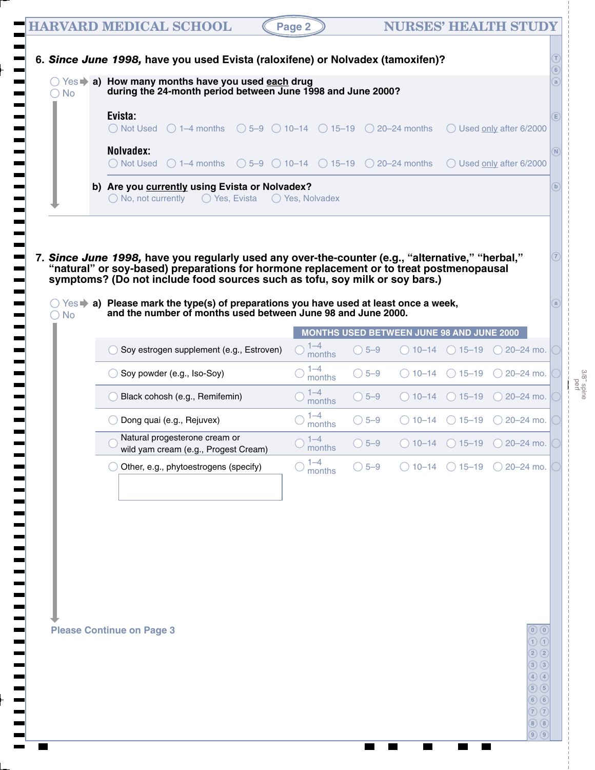| <b>No</b><br>○ | ○ Yes a) How many months have you used each drug<br>during the 24-month period between June 1998 and June 2000?                                                                                                                                                            |                   |                |                                           |                                   |                                                                                |
|----------------|----------------------------------------------------------------------------------------------------------------------------------------------------------------------------------------------------------------------------------------------------------------------------|-------------------|----------------|-------------------------------------------|-----------------------------------|--------------------------------------------------------------------------------|
|                | Evista:<br>$\bigcirc$ Not Used $\bigcirc$ 1-4 months $\bigcirc$ 5-9 $\bigcirc$ 10-14 $\bigcirc$ 15-19 $\bigcirc$ 20-24 months                                                                                                                                              |                   |                |                                           |                                   | ◯ Used only after 6/2000                                                       |
|                | Nolvadex:<br>◯ Not Used $\bigcirc$ 1-4 months $\bigcirc$ 5-9 $\bigcirc$ 10-14 $\bigcirc$ 15-19 $\bigcirc$ 20-24 months                                                                                                                                                     |                   |                |                                           |                                   | ◯ Used only after 6/2000                                                       |
|                | b) Are you currently using Evista or Nolvadex?<br>$\bigcirc$ No, not currently $\bigcirc$ Yes, Evista $\bigcirc$ Yes, Nolvadex                                                                                                                                             |                   |                |                                           |                                   |                                                                                |
|                | 7. Since June 1998, have you regularly used any over-the-counter (e.g., "alternative," "herbal,"<br>"natural" or soy-based) preparations for hormone replacement or to treat postmenopausal<br>symptoms? (Do not include food sources such as tofu, soy milk or soy bars.) |                   |                |                                           |                                   |                                                                                |
| $\bigcirc$ No  | $\circlearrowright$ Yes $\bullet$ a) Please mark the type(s) of preparations you have used at least once a week,<br>and the number of months used between June 98 and June 2000.                                                                                           |                   |                |                                           |                                   |                                                                                |
|                | Soy estrogen supplement (e.g., Estroven)                                                                                                                                                                                                                                   | $1 - 4$<br>months | $\bigcirc$ 5-9 | MONTHS USED BETWEEN JUNE 98 AND JUNE 2000 |                                   | $\bigcirc$ 10-14 $\bigcirc$ 15-19 $\bigcirc$ 20-24 mo.                         |
|                | Soy powder (e.g., Iso-Soy)                                                                                                                                                                                                                                                 | $1 - 4$<br>months | $\bigcirc$ 5-9 |                                           | $\bigcirc$ 10–14 $\bigcirc$ 15–19 | $\bigcirc$ 20-24 mo.                                                           |
|                |                                                                                                                                                                                                                                                                            |                   |                |                                           |                                   | $\bigcirc$ 10–14 $\bigcirc$ 15–19 $\bigcirc$ 20–24 mo.                         |
|                | Black cohosh (e.g., Remifemin)                                                                                                                                                                                                                                             | $1 - 4$<br>months | $\bigcirc$ 5-9 |                                           |                                   |                                                                                |
|                | Dong quai (e.g., Rejuvex)                                                                                                                                                                                                                                                  | $1 - 4$<br>months | $\bigcirc$ 5-9 | () 10–14                                  | $\bigcirc$ 15–19                  |                                                                                |
|                | Natural progesterone cream or                                                                                                                                                                                                                                              | $1 - 4$<br>months | $\bigcirc$ 5-9 |                                           |                                   | $\bigcirc$ 20-24 mo.<br>$\bigcirc$ 10–14 $\bigcirc$ 15–19 $\bigcirc$ 20–24 mo. |
|                | wild yam cream (e.g., Progest Cream)<br>Other, e.g., phytoestrogens (specify)                                                                                                                                                                                              | $1 - 4$<br>months | $\bigcirc$ 5-9 |                                           | $() 10-14$ $() 15-19$             | $\bigcirc$ 20-24 mo.                                                           |
|                |                                                                                                                                                                                                                                                                            |                   |                |                                           |                                   |                                                                                |
|                |                                                                                                                                                                                                                                                                            |                   |                |                                           |                                   |                                                                                |

 $\overline{\phantom{a}}$ 

3/8" spine perf

**9 9**

 $\overline{\phantom{a}}$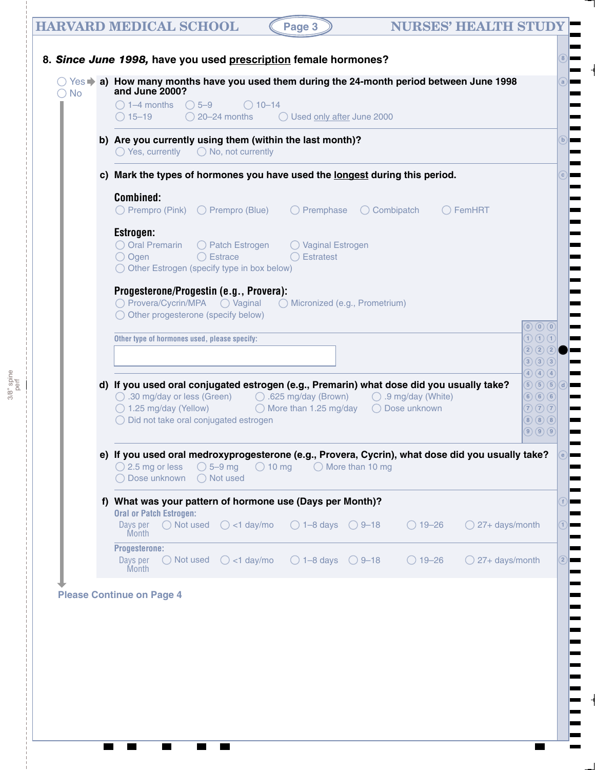# **HARVARD MEDICAL SCHOOL (Page 3) NURSES' HEALTH STUDY 8.** *Since June 1998,* **have you used prescription female hormones?**

**8**

┓

 $\blacksquare$ 

⊫

| $\bigcirc$ 1–4 months $\bigcirc$ 5–9<br>$\bigcirc$ 10-14<br>$\bigcirc$ 20-24 months<br>Used only after June 2000<br>$\bigcirc$ 15–19                                                                                     |                                                                                                                                  |  |  |  |  |  |  |  |
|--------------------------------------------------------------------------------------------------------------------------------------------------------------------------------------------------------------------------|----------------------------------------------------------------------------------------------------------------------------------|--|--|--|--|--|--|--|
| b) Are you currently using them (within the last month)?<br>$\bigcirc$ Yes, currently $\bigcirc$ No, not currently                                                                                                       |                                                                                                                                  |  |  |  |  |  |  |  |
| c) Mark the types of hormones you have used the longest during this period.                                                                                                                                              |                                                                                                                                  |  |  |  |  |  |  |  |
| <b>Combined:</b><br>$\bigcirc$ Prempro (Pink) $\bigcirc$ Prempro (Blue) $\bigcirc$ Premphase $\bigcirc$ Combipatch<br>$\bigcirc$ FemHRT                                                                                  |                                                                                                                                  |  |  |  |  |  |  |  |
| Estrogen:                                                                                                                                                                                                                |                                                                                                                                  |  |  |  |  |  |  |  |
| ○ Oral Premarin ○ Patch Estrogen<br>◯ Vaginal Estrogen<br>○ Ogen<br>$\bigcirc$ Estrace<br>$\bigcirc$ Estratest<br>$\bigcirc$ Other Estrogen (specify type in box below)                                                  |                                                                                                                                  |  |  |  |  |  |  |  |
| Progesterone/Progestin (e.g., Provera):<br>$\bigcirc$ Other progesterone (specify below)                                                                                                                                 |                                                                                                                                  |  |  |  |  |  |  |  |
|                                                                                                                                                                                                                          |                                                                                                                                  |  |  |  |  |  |  |  |
|                                                                                                                                                                                                                          | $\textcircled{\scriptsize{0}}$ $\textcircled{\scriptsize{0}}$                                                                    |  |  |  |  |  |  |  |
| Other type of hormones used, please specify:                                                                                                                                                                             | $\left( \overline{1}\right) \left( \overline{1}\right) \left( \overline{1}\right)$<br>$\mathbf{2}\mathbf{2}\mathbf{2}\mathbf{2}$ |  |  |  |  |  |  |  |
|                                                                                                                                                                                                                          | $\bigcirc$ $\bigcirc$ $\bigcirc$                                                                                                 |  |  |  |  |  |  |  |
| d) If you used oral conjugated estrogen (e.g., Premarin) what dose did you usually take?                                                                                                                                 | $\bigcirc$ $\bigcirc$ $\bigcirc$ $\bigcirc$<br>5660                                                                              |  |  |  |  |  |  |  |
| ○ .30 mg/day or less (Green) ○ .625 mg/day (Brown) ○ .9 mg/day (White)                                                                                                                                                   |                                                                                                                                  |  |  |  |  |  |  |  |
| ◯ 1.25 mg/day (Yellow) 		 ○ More than 1.25 mg/day 	 ○ Dose unknown<br>◯ Did not take oral conjugated estrogen                                                                                                            |                                                                                                                                  |  |  |  |  |  |  |  |
|                                                                                                                                                                                                                          |                                                                                                                                  |  |  |  |  |  |  |  |
| e) If you used oral medroxyprogesterone (e.g., Provera, Cycrin), what dose did you usually take?<br>$\bigcirc$ 2.5 mg or less $\bigcirc$ 5–9 mg $\bigcirc$ 10 mg $\bigcirc$ More than 10 mg<br>◯ Dose unknown ◯ Not used | 666<br>$\mathcal{D}\mathcal{D}\mathcal{D}$<br>$\circledcirc$ $\circledcirc$                                                      |  |  |  |  |  |  |  |
| f) What was your pattern of hormone use (Days per Month)?<br><b>Oral or Patch Estrogen:</b>                                                                                                                              |                                                                                                                                  |  |  |  |  |  |  |  |
| $\bigcirc$ Not used<br>$\bigcirc$ <1 day/mo<br>$\bigcirc$ 1-8 days $\bigcirc$ 9-18<br>Days per<br>$\bigcirc$ 19-26<br>Month                                                                                              |                                                                                                                                  |  |  |  |  |  |  |  |
| Progesterone:<br>$\bigcirc$ <1 day/mo<br>$\bigcirc$ 1-8 days $\bigcirc$ 9-18<br>Days per<br>$\bigcirc$ Not used<br>$\bigcirc$ 19-26                                                                                      | $\bigcirc$ 27+ days/month<br>$\bigcirc$ 27+ days/month                                                                           |  |  |  |  |  |  |  |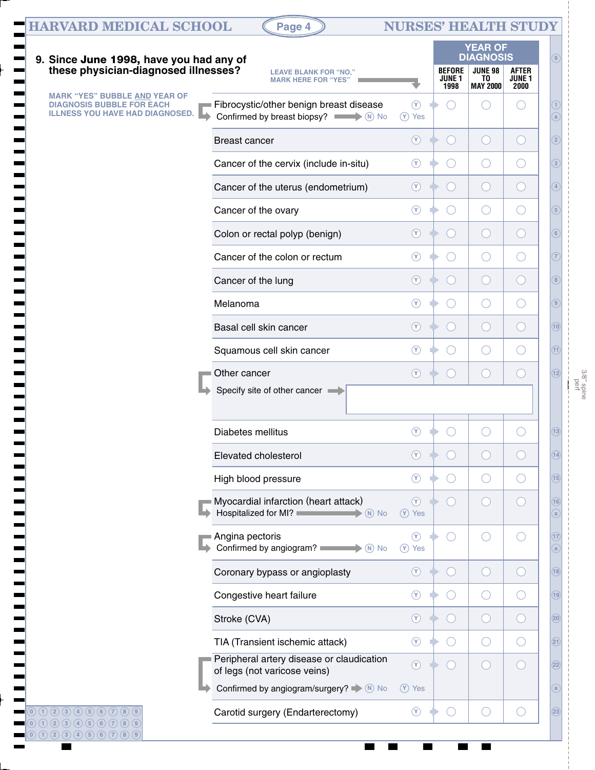|                                                                                                                    |                                                                                             |                             |                                                 | <b>YEAR OF</b><br><b>DIAGNOSIS</b>            |                                               |
|--------------------------------------------------------------------------------------------------------------------|---------------------------------------------------------------------------------------------|-----------------------------|-------------------------------------------------|-----------------------------------------------|-----------------------------------------------|
| 9. Since June 1998, have you had any of these physician-diagnosed illnesses?                                       | <b>LEAVE BLANK FOR "NO,"</b><br><b>MARK HERE FOR "YES"</b>                                  |                             | <b>BEFORE</b><br><b>JUNE 1</b><br>1998          | <b>JUNE 98</b><br>TO.<br><b>MAY 2000</b>      | <b>AFTER</b><br>JUNE <sub>1</sub><br>2000     |
| <b>MARK "YES" BUBBLE AND YEAR OF</b><br><b>DIAGNOSIS BUBBLE FOR EACH</b><br><b>ILLNESS YOU HAVE HAD DIAGNOSED.</b> | Fibrocystic/other benign breast disease<br>Confirmed by breast biopsy? $\blacksquare$ No No | $\circled{r}$<br>$(Y)$ Yes  | $\left( \begin{array}{c} \end{array} \right)$   |                                               | $($ )                                         |
|                                                                                                                    | <b>Breast cancer</b>                                                                        | $\circledcirc$              | $\left( \begin{array}{c} 1 \end{array} \right)$ | $\left(\begin{array}{c} \end{array}\right)$   | $\bigcirc$                                    |
|                                                                                                                    | Cancer of the cervix (include in-situ)                                                      | $\circledcirc$              | $\left(\begin{array}{c} \end{array}\right)$     | $\left(\right)$                               | $\left(\right)$                               |
|                                                                                                                    | Cancer of the uterus (endometrium)                                                          | $\circledcirc$              | $\left( \begin{array}{c} \end{array} \right)$   | $\bigcirc$                                    | $\bigcirc$                                    |
|                                                                                                                    | Cancer of the ovary                                                                         | $\circled{r}$               | $\left(\begin{array}{c} \end{array}\right)$     | $\left(\right)$                               | O                                             |
|                                                                                                                    | Colon or rectal polyp (benign)                                                              | $\circledcirc$              | $\left( \begin{array}{c} \end{array} \right)$   | $\bigcirc$                                    | $\bigcirc$                                    |
|                                                                                                                    | Cancer of the colon or rectum                                                               | $\circled{r}$               | $\left(\begin{array}{c} \end{array}\right)$     | $\bigcirc$                                    | $\left(\begin{array}{c} \end{array}\right)$   |
|                                                                                                                    | Cancer of the lung                                                                          | $\circledcirc$              | $\left( \begin{array}{c} \end{array} \right)$   | $\left( \begin{array}{c} \end{array} \right)$ | $\bigcirc$                                    |
|                                                                                                                    | Melanoma                                                                                    | $\circledcirc$              | $\left(\begin{array}{c} \end{array}\right)$     | $\bigcirc$                                    | O                                             |
|                                                                                                                    | Basal cell skin cancer                                                                      | $\circledcirc$              | $\left( \begin{array}{c} \end{array} \right)$   | $\left( \begin{array}{c} \end{array} \right)$ | $\bigcirc$                                    |
|                                                                                                                    | Squamous cell skin cancer                                                                   | $\circledcirc$              | ○                                               | $\bigcirc$                                    | O                                             |
|                                                                                                                    | Other cancer                                                                                | $\circledcirc$              | $\left( \begin{array}{c} \end{array} \right)$   | $\left( \begin{array}{c} \end{array} \right)$ | $\bigcirc$                                    |
|                                                                                                                    | Specify site of other cancer                                                                |                             |                                                 |                                               |                                               |
|                                                                                                                    | Diabetes mellitus                                                                           | $(\lambda)$                 |                                                 |                                               |                                               |
|                                                                                                                    | Elevated cholesterol                                                                        | $\circledcirc$              | $\overline{(\ }$                                | ◯                                             | $\left( \quad \right)$                        |
|                                                                                                                    | High blood pressure                                                                         | $\circledcirc$              | ○                                               | $\left( \quad \right)$                        | $\left( \quad \right)$                        |
|                                                                                                                    | Myocardial infarction (heart attack)<br>Hospitalized for MI?<br>$\rightarrow \circledR$ No  | $\circledcirc$<br>(Y) Yes   | $\bigcirc$                                      | $\left( \quad \right)$                        | $\left( \begin{array}{c} \end{array} \right)$ |
|                                                                                                                    | Angina pectoris<br>Confirmed by angiogram?                                                  | $\circledcirc$<br>$(Y)$ Yes | $\bigcirc$                                      |                                               | $(\ )$                                        |
|                                                                                                                    | Coronary bypass or angioplasty                                                              | $\circledcirc$              | $\left( \begin{array}{c} \end{array} \right)$   | $\bigcirc$                                    | $\left( \begin{array}{c} \end{array} \right)$ |
|                                                                                                                    | Congestive heart failure                                                                    | $\circledcirc$              | ○                                               | ○                                             | $\left(\begin{array}{c} \end{array}\right)$   |
|                                                                                                                    | Stroke (CVA)                                                                                | $\circledcirc$              | $\left( \begin{array}{c} \end{array} \right)$   | $\left(\begin{array}{c} \end{array}\right)$   | $\bigcirc$                                    |
|                                                                                                                    | TIA (Transient ischemic attack)                                                             | $\circledcirc$              | ○                                               | ○                                             | $\left(\right)$                               |
|                                                                                                                    | Peripheral artery disease or claudication<br>of legs (not varicose veins)                   | $\circledcirc$              | O                                               | $(\ )$                                        | $\left( \begin{array}{c} \end{array} \right)$ |
|                                                                                                                    | Confirmed by angiogram/surgery? $\blacktriangleright$ (N) No                                | $(Y)$ Yes                   |                                                 |                                               |                                               |
| $(0)$ (1) (2) (3) (4) (5) (6) (7) (8) (9)                                                                          | Carotid surgery (Endarterectomy)                                                            | $\circled{r}$               | $\overline{C}$                                  | ( )                                           | $(\ )$                                        |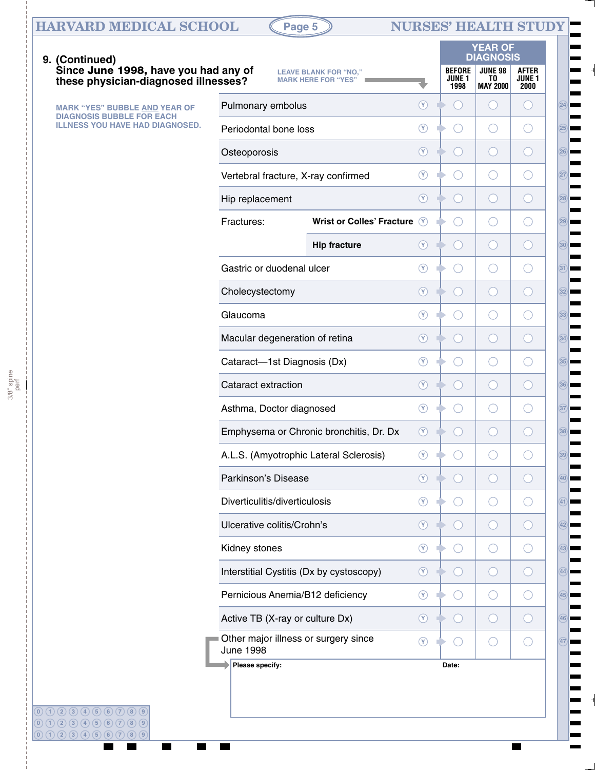# **HARVARD MEDICAL SCHOOL (Page 5) NURSES' HEALTH STUDY**

**0 1 2 3 4 5 6 7 8 9**

 $\blacksquare$ 

3/8" spine perf

**29**

**28**

**24**

⊫

**25**

**26**

**27**

**30**

**31**

**32**

**33**

**34**

**35**

**36**

**37**

**38**

**39**

**40**

**41**

**42**

**43**

**44**

**45**

**46**

**47**

 $\overline{\phantom{a}}$ 

| 9. (Continued)                                                               |                                                          |                                                            |                |                                        | <b>YEAR OF</b><br><b>DIAGNOSIS</b>          |                                               |
|------------------------------------------------------------------------------|----------------------------------------------------------|------------------------------------------------------------|----------------|----------------------------------------|---------------------------------------------|-----------------------------------------------|
| Since June 1998, have you had any of<br>these physician-diagnosed illnesses? |                                                          | <b>LEAVE BLANK FOR "NO,"</b><br><b>MARK HERE FOR "YES"</b> |                | <b>BEFORE</b><br><b>JUNE 1</b><br>1998 | <b>JUNE 98</b><br>TO<br><b>MAY 2000</b>     | <b>AFTER</b><br>JUNE <sub>1</sub><br>2000     |
| <b>MARK "YES" BUBBLE AND YEAR OF</b><br><b>DIAGNOSIS BUBBLE FOR EACH</b>     | Pulmonary embolus                                        |                                                            | $^{\circledR}$ | $($ )                                  | $\left(\begin{array}{c} \end{array}\right)$ | $\left( \quad \right)$                        |
| <b>ILLNESS YOU HAVE HAD DIAGNOSED.</b>                                       | Periodontal bone loss                                    | $\circledcirc$                                             | $(\ )$         | O                                      | ○                                           |                                               |
|                                                                              | Osteoporosis                                             |                                                            | $\circledcirc$ | $(\ )$                                 | $\left(\right)$                             | $\left( \begin{array}{c} \end{array} \right)$ |
|                                                                              | Vertebral fracture, X-ray confirmed                      |                                                            | $^{\circledR}$ | $(\ )$                                 | O                                           | ( )                                           |
|                                                                              | Hip replacement                                          |                                                            | $\circledcirc$ | $\left( \quad \right)$                 | $\left(\right)$                             | $\left( \begin{array}{c} \end{array} \right)$ |
|                                                                              | Fractures:                                               | <b>Wrist or Colles' Fracture</b>                           | $\odot$        | $(\ )$                                 | O                                           | $\left(\begin{array}{c} \end{array}\right)$   |
|                                                                              |                                                          | <b>Hip fracture</b>                                        | $\circledcirc$ | $(\ )$                                 | $\left(\right)$                             | $\left( \quad \right)$                        |
|                                                                              | Gastric or duodenal ulcer                                |                                                            | $\circledcirc$ | $(\ )$                                 | O                                           | $\left(\begin{array}{c} \end{array}\right)$   |
|                                                                              | Cholecystectomy                                          |                                                            | $\circledcirc$ | $(\ )$<br>D                            | $\left(\right)$                             | $\left( \quad \right)$                        |
|                                                                              | Glaucoma                                                 |                                                            | $\circledcirc$ | $(\ )$                                 | O                                           | $\left(\begin{array}{c} \end{array}\right)$   |
|                                                                              | Macular degeneration of retina                           |                                                            | $\circledcirc$ | $(\ )$                                 | $\left(\right)$                             | $\left( \quad \right)$                        |
|                                                                              | Cataract-1st Diagnosis (Dx)                              |                                                            | $\circledcirc$ | $(\ )$                                 | O                                           | $\left(\begin{array}{c} \end{array}\right)$   |
|                                                                              | Cataract extraction                                      |                                                            | $\circledcirc$ | $(\ )$<br>m                            | $\left(\right)$                             | $\left( \quad \right)$                        |
|                                                                              | Asthma, Doctor diagnosed                                 |                                                            | $\circledcirc$ | ( )                                    | O                                           | $\left(\begin{array}{c} \end{array}\right)$   |
|                                                                              |                                                          | Emphysema or Chronic bronchitis, Dr. Dx                    | $\circledcirc$ | $\left( \quad \right)$                 | $\left(\begin{array}{c} \end{array}\right)$ | $\left(\begin{array}{c} \end{array}\right)$   |
|                                                                              | A.L.S. (Amyotrophic Lateral Sclerosis)                   |                                                            | $\circledcirc$ | ( )                                    | O                                           | 0                                             |
|                                                                              | Parkinson's Disease                                      |                                                            | $^{\circledR}$ |                                        |                                             |                                               |
|                                                                              | Diverticulitis/diverticulosis                            |                                                            | $\circledcirc$ |                                        | $\left(\begin{array}{c} \end{array}\right)$ |                                               |
|                                                                              | Ulcerative colitis/Crohn's                               |                                                            | $\circledcirc$ |                                        | $\left(\cdot\right)$                        | С.                                            |
|                                                                              | Kidney stones                                            |                                                            | $\circledcirc$ |                                        | $\left(\begin{array}{c} \end{array}\right)$ | ( )                                           |
|                                                                              | Interstitial Cystitis (Dx by cystoscopy)                 |                                                            | $\circledcirc$ |                                        | $\left(\cdot\right)$                        | 0                                             |
|                                                                              | Pernicious Anemia/B12 deficiency                         |                                                            | $\circledcirc$ | $( \ )$                                | $\left(\begin{array}{c} \end{array}\right)$ | $(\ )$                                        |
|                                                                              | Active TB (X-ray or culture Dx)                          |                                                            | $\circledcirc$ |                                        | $\left(\right)$                             | $\overline{\phantom{a}}$                      |
|                                                                              | Other major illness or surgery since<br><b>June 1998</b> |                                                            | $\circledcirc$ | $($ )                                  | $\left(\begin{array}{c} \end{array}\right)$ | $(\ )$                                        |
|                                                                              | Please specify:                                          |                                                            |                | Date:                                  |                                             |                                               |
|                                                                              |                                                          |                                                            |                |                                        |                                             |                                               |
| $(0)$ (1) (2) (3) (4) (5) (6) (7) (8) (9)<br>0(1203456786789)                |                                                          |                                                            |                |                                        |                                             |                                               |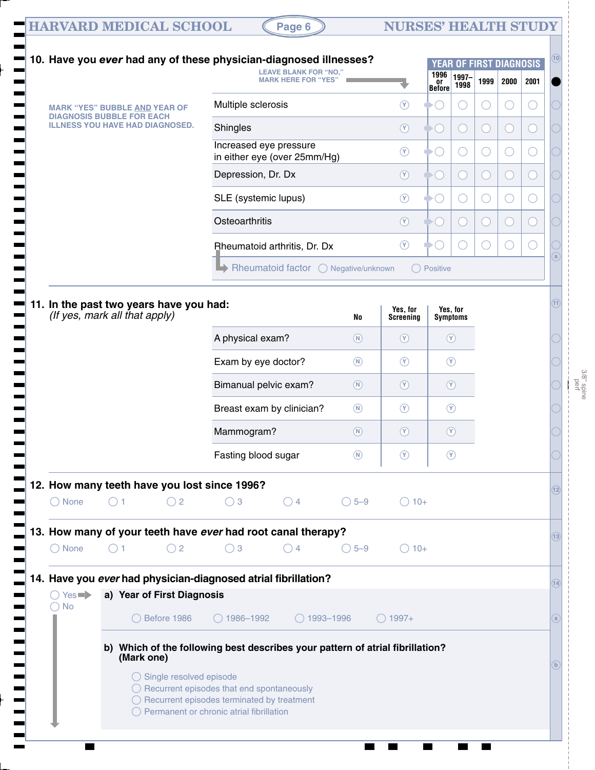| <b>HARVARD MEDICAL SCHOOL</b> |  |
|-------------------------------|--|
|                               |  |

# $($ Page 6  $)$  **NURSES' HEALTH STUDY**

|                                                                          |             |                                    |                                                       | <b>LEAVE BLANK FOR "NO."</b><br><b>MARK HERE FOR "YES"</b>                    |                |                              | 1996<br>or<br>Before | 1997-<br>1998               | 1999              | 2000   | 2001 |
|--------------------------------------------------------------------------|-------------|------------------------------------|-------------------------------------------------------|-------------------------------------------------------------------------------|----------------|------------------------------|----------------------|-----------------------------|-------------------|--------|------|
| <b>MARK "YES" BUBBLE AND YEAR OF</b><br><b>DIAGNOSIS BUBBLE FOR EACH</b> |             |                                    | Multiple sclerosis                                    |                                                                               |                | $\circledcirc$               |                      | O                           | O                 | O      |      |
| <b>ILLNESS YOU HAVE HAD DIAGNOSED.</b>                                   |             |                                    | Shingles                                              |                                                                               |                | $\circledcirc$               |                      | 0                           | Œ                 | $(\ )$ |      |
|                                                                          |             |                                    |                                                       | Increased eye pressure<br>in either eye (over 25mm/Hg)                        |                | $\circledcirc$               |                      | 0                           | $\left(\ \right)$ | O      |      |
|                                                                          |             |                                    | Depression, Dr. Dx                                    |                                                                               |                | $\circledcirc$               |                      | 0                           | $\bigcirc$        | Œ      |      |
|                                                                          |             |                                    | SLE (systemic lupus)                                  |                                                                               |                | $\circledcirc$               |                      | 0                           | $\left(\ \right)$ | O      |      |
|                                                                          |             |                                    | Osteoarthritis                                        |                                                                               |                | $\circledcirc$               |                      | 0                           | $(\ )$            | $(\ )$ |      |
|                                                                          |             |                                    |                                                       | <b>Bheumatoid arthritis, Dr. Dx</b>                                           |                | $\circledcirc$               |                      |                             | ()                | $(\ )$ |      |
|                                                                          |             |                                    |                                                       | Rheumatoid factor O Negative/unknown                                          |                |                              | ◯ Positive           |                             |                   |        |      |
|                                                                          |             |                                    |                                                       |                                                                               |                |                              |                      |                             |                   |        |      |
| 11. In the past two years have you had:<br>(If yes, mark all that apply) |             |                                    |                                                       |                                                                               | No             | Yes, for<br><b>Screening</b> |                      | Yes, for<br><b>Symptoms</b> |                   |        |      |
|                                                                          |             |                                    | A physical exam?                                      |                                                                               | $\circledR$    | $\circledcirc$               |                      | $\circledcirc$              |                   |        |      |
|                                                                          |             |                                    | Exam by eye doctor?                                   |                                                                               | $\circledR$    | $\circledcirc$               |                      | $\circledcirc$              |                   |        |      |
|                                                                          |             |                                    |                                                       | Bimanual pelvic exam?                                                         | $\circledR$    | $\circledcirc$               |                      | $\circledcirc$              |                   |        |      |
|                                                                          |             |                                    |                                                       | Breast exam by clinician?                                                     | $\circledR$    | $\circledcirc$               |                      | $\circledcirc$              |                   |        |      |
|                                                                          |             |                                    | Mammogram?                                            |                                                                               | $\circ$        | $\circledcirc$               |                      | $\circledcirc$              |                   |        |      |
|                                                                          |             |                                    | Fasting blood sugar                                   |                                                                               | (N)            | $\circledcirc$               |                      | $\circled{r}$               |                   |        |      |
|                                                                          |             |                                    | 12. How many teeth have you lost since 1996?          |                                                                               |                |                              |                      |                             |                   |        |      |
| $\bigcirc$ None                                                          | $\bigcap$ 1 | $\bigcirc$ 2                       | $\bigcirc$ 3                                          | $\bigcirc$ 4                                                                  | $\bigcirc$ 5-9 | $\bigcirc$ 10+               |                      |                             |                   |        |      |
|                                                                          |             |                                    |                                                       | 13. How many of your teeth have ever had root canal therapy?                  |                |                              |                      |                             |                   |        |      |
| $\bigcirc$ None                                                          | ( ) 1       | $\bigcirc$ 2                       | $\bigcirc$ 3                                          | $\bigcirc$ 4                                                                  | $\bigcirc$ 5-9 | $\bigcirc$ 10+               |                      |                             |                   |        |      |
|                                                                          |             |                                    |                                                       | 14. Have you ever had physician-diagnosed atrial fibrillation?                |                |                              |                      |                             |                   |        |      |
| $\bigcirc$ Yes $\blacktriangleright$                                     |             | a) Year of First Diagnosis         |                                                       |                                                                               |                |                              |                      |                             |                   |        |      |
| <b>No</b><br>$^{(+)}$                                                    |             | $\bigcirc$ Before 1986             | $\bigcirc$ 1986-1992                                  | $\bigcirc$ 1993-1996                                                          |                | $\bigcirc$ 1997+             |                      |                             |                   |        |      |
|                                                                          |             |                                    |                                                       | b) Which of the following best describes your pattern of atrial fibrillation? |                |                              |                      |                             |                   |        |      |
|                                                                          | (Mark one)  |                                    |                                                       |                                                                               |                |                              |                      |                             |                   |        |      |
|                                                                          |             | $\bigcirc$ Single resolved episode | $\bigcirc$ Recurrent episodes that end spontaneously  |                                                                               |                |                              |                      |                             |                   |        |      |
|                                                                          |             |                                    | $\bigcirc$ Recurrent episodes terminated by treatment |                                                                               |                |                              |                      |                             |                   |        |      |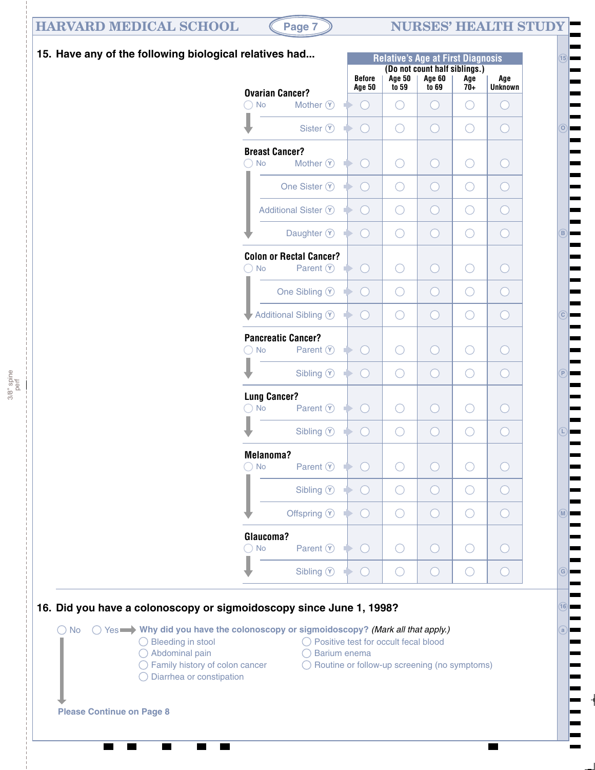### **HARVARD MEDICAL SCHOOL (Page 7) NURSES' HEALTH STUDY**

3/8" spine perf

**15**

**O**

⊫

**B**

E

**C**

┝

**P**

**L**

**16**

**G**

**M**

**a**



| elatives had                                                                                | <b>Relative's Age at First Diagnosis</b> |               |                                                |       |                |  |  |  |  |  |
|---------------------------------------------------------------------------------------------|------------------------------------------|---------------|------------------------------------------------|-------|----------------|--|--|--|--|--|
|                                                                                             | <b>Before</b>                            | <b>Age 50</b> | (Do not count half siblings.)<br><b>Age 60</b> | Age   | Age            |  |  |  |  |  |
| <b>Ovarian Cancer?</b>                                                                      | <b>Age 50</b>                            | to 59         | to 69                                          | $70+$ | <b>Unknown</b> |  |  |  |  |  |
| $\bigcirc$ No<br>Mother $(\tilde{Y})$                                                       | $\rightarrow$                            | ( )           |                                                |       | $(\ )$         |  |  |  |  |  |
| Sister $\circledcirc$                                                                       | $\blacktriangleright$ .                  |               |                                                |       | ۰              |  |  |  |  |  |
| <b>Breast Cancer?</b><br>$\bigcirc$ No Mother $\widehat{Y}$                                 | $\rightarrow$                            |               |                                                |       | 8              |  |  |  |  |  |
| One Sister $\circledcirc$                                                                   | $\rightarrow$                            | $($ )         |                                                |       | €              |  |  |  |  |  |
| Additional Sister $\mathcal{V}$                                                             | $\blacktriangleright$ .                  | $($ )         |                                                |       | O              |  |  |  |  |  |
| Daughter $\circledcirc$                                                                     | $\blacktriangleright$ .                  | ( )           |                                                |       | O              |  |  |  |  |  |
| <b>Colon or Rectal Cancer?</b><br>O<br><b>Parent <math>\circledcirc</math></b><br><b>No</b> | $\bullet$ .                              |               |                                                |       | ◯              |  |  |  |  |  |
| One Sibling $\circledcirc$                                                                  | ∙                                        |               |                                                |       | $\bigcap$      |  |  |  |  |  |
| Additional Sibling V                                                                        | $\rightarrow$ ( )                        | ( )           |                                                |       | €              |  |  |  |  |  |
| <b>Pancreatic Cancer?</b><br>$\bigcirc$ No Parent $\circ$                                   | $\rightarrow$                            |               |                                                |       | 8              |  |  |  |  |  |
| Sibling $\circledcirc$                                                                      | $\bullet$ .                              |               |                                                |       | 8              |  |  |  |  |  |
| <b>Lung Cancer?</b><br>$\bigcirc$ No Parent $\bigcirc$ $\rightarrow$ $\bigcirc$             |                                          |               |                                                |       |                |  |  |  |  |  |
| Sibling $\circledcirc$                                                                      | ∙                                        |               |                                                |       | ۰              |  |  |  |  |  |
| Melanoma?<br>$\bigcirc$ No Parent $\bigcirc$ $\blacktriangleright$ $\bigcirc$               |                                          |               |                                                |       |                |  |  |  |  |  |
| Sibling $\circledcirc$                                                                      | ◆                                        |               |                                                |       |                |  |  |  |  |  |
| Offspring $\circledcirc$                                                                    |                                          |               |                                                |       |                |  |  |  |  |  |
| Glaucoma?<br>Parent $\circledcirc$<br><b>No</b>                                             |                                          |               |                                                |       |                |  |  |  |  |  |
| Sibling $\circledcirc$                                                                      | ₽                                        |               |                                                |       |                |  |  |  |  |  |



No Yes **Why did you have the colonoscopy or sigmoidoscopy?** *(Mark all that apply.)*  Bleeding in stool Abdominal pain  $\bigcirc$  Family history of colon cancer Diarrhea or constipation ◯ Positive test for occult fecal blood  $\bigcirc$  Barium enema  $\bigcirc$  Routine or follow-up screening (no symptoms) **Please Continue on Page 8**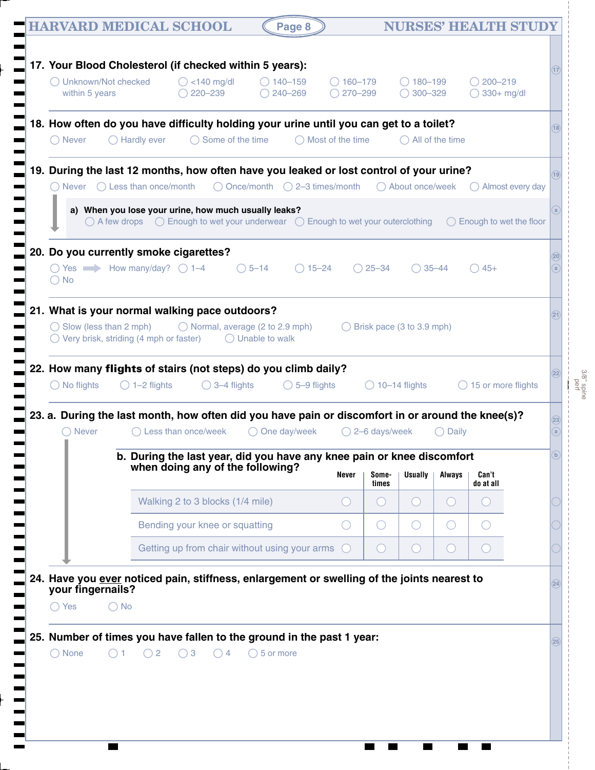|     | within 5 years                                                                                                                           |                                                                                                                                                                                                       |                     | 220-239                          |                                                                        | $\bigcirc$ 240-269      | $\bigcirc$ 270–299                                                    |                          | $300 - 329$               |                                             | $\bigcirc$ 330+ mg/dl |                                                                   |              |
|-----|------------------------------------------------------------------------------------------------------------------------------------------|-------------------------------------------------------------------------------------------------------------------------------------------------------------------------------------------------------|---------------------|----------------------------------|------------------------------------------------------------------------|-------------------------|-----------------------------------------------------------------------|--------------------------|---------------------------|---------------------------------------------|-----------------------|-------------------------------------------------------------------|--------------|
|     | 18. How often do you have difficulty holding your urine until you can get to a toilet?<br>$\bigcirc$ Never                               | $\bigcirc$ Hardly ever                                                                                                                                                                                |                     | $\bigcirc$ Some of the time      |                                                                        |                         | Most of the time                                                      |                          |                           | All of the time                             |                       |                                                                   | (18)         |
|     | 19. During the last 12 months, how often have you leaked or lost control of your urine?                                                  |                                                                                                                                                                                                       |                     |                                  |                                                                        |                         |                                                                       |                          |                           |                                             |                       |                                                                   | (19)         |
|     | ( ) Never                                                                                                                                | $\bigcirc$ Less than once/month<br>a) When you lose your urine, how much usually leaks?<br>$\bigcirc$ A few drops $\bigcirc$ Enough to wet your underwear $\bigcirc$ Enough to wet your outerclothing |                     |                                  |                                                                        |                         | $\bigcirc$ Once/month $\bigcirc$ 2-3 times/month                      |                          | ◯ About once/week         |                                             |                       | $\bigcirc$ Almost every day<br>$\bigcirc$ Enough to wet the floor | a            |
| 20. | Do you currently smoke cigarettes?<br>$\bigcirc$ Yes $\longrightarrow$ How many/day? $\bigcirc$ 1-4<br>$\bigcirc$ No                     |                                                                                                                                                                                                       |                     |                                  | $\bigcirc$ 5-14                                                        |                         | $() 15 - 24$                                                          | $25 - 34$                | $\bigcirc$ 35-44          |                                             | $\bigcirc$ 45+        |                                                                   | (20)         |
|     | 21. What is your normal walking pace outdoors?<br>$\bigcirc$ Slow (less than 2 mph)<br>$\bigcirc$ Very brisk, striding (4 mph or faster) |                                                                                                                                                                                                       |                     |                                  | $\bigcirc$ Normal, average (2 to 2.9 mph)<br>$\bigcirc$ Unable to walk |                         |                                                                       |                          | Brisk pace (3 to 3.9 mph) |                                             |                       |                                                                   |              |
|     | 22. How many flights of stairs (not steps) do you climb daily?<br>$\bigcirc$ No flights                                                  | $\bigcirc$ 1-2 flights                                                                                                                                                                                |                     | $\bigcirc$ 3-4 flights           |                                                                        | $\bigcirc$ 5-9 flights  |                                                                       |                          | $\bigcirc$ 10-14 flights  |                                             |                       | 15 or more flights                                                | (22)         |
|     | 23. a. During the last month, how often did you have pain or discomfort in or around the knee(s)?<br>$\bigcirc$ Never<br>п               |                                                                                                                                                                                                       | Less than once/week |                                  |                                                                        | $\bigcirc$ One day/week |                                                                       | $\bigcirc$ 2–6 days/week |                           | Daily                                       |                       |                                                                   | (23)<br>a    |
|     |                                                                                                                                          | b. During the last year, did you have any knee pain or knee discomfort                                                                                                                                |                     |                                  | when doing any of the following?                                       |                         | Never                                                                 | Some-<br>times           | <b>Usually</b>            | Always                                      | Can't<br>do at all    |                                                                   | $\mathbf{b}$ |
|     |                                                                                                                                          |                                                                                                                                                                                                       |                     | Walking 2 to 3 blocks (1/4 mile) |                                                                        |                         | $\left( \quad \right)$                                                | $\left( \quad \right)$   | $($ )                     | $\left(\begin{array}{c} \end{array}\right)$ | $\sqrt{2}$            |                                                                   |              |
|     |                                                                                                                                          |                                                                                                                                                                                                       |                     | Bending your knee or squatting   |                                                                        |                         | $(\ )$                                                                | O                        | $\left(\right)$           | $\bigcirc$                                  |                       |                                                                   |              |
|     |                                                                                                                                          |                                                                                                                                                                                                       |                     |                                  | Getting up from chair without using your arms                          |                         | (                                                                     | $\bigcirc$               | $($ )                     | $\bigcirc$                                  |                       |                                                                   |              |
|     | 24. Have you ever noticed pain, stiffness, enlargement or swelling of the joints nearest to<br>your fingernails?<br>$\bigcirc$ Yes       | $\bigcirc$ No                                                                                                                                                                                         |                     |                                  |                                                                        |                         |                                                                       |                          |                           |                                             |                       |                                                                   | (24)         |
|     |                                                                                                                                          |                                                                                                                                                                                                       |                     |                                  |                                                                        |                         | 25. Number of times you have fallen to the ground in the past 1 year: |                          |                           |                                             |                       |                                                                   | (25)         |

3/8" spine

Ţ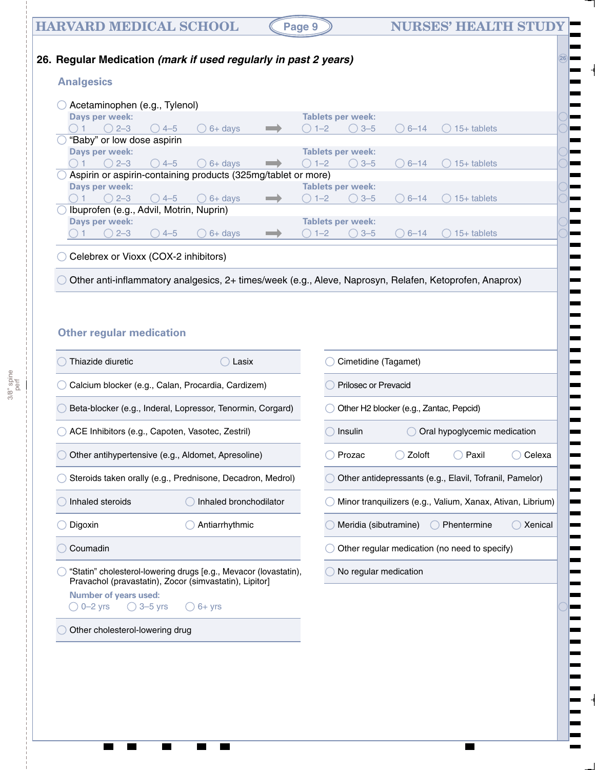### **HARVARD MEDICAL SCHOOL (Page 9) NURSES' HEALTH STUDY**

**26**

#### **26. Regular Medication** *(mark if used regularly in past 2 years)*

#### **Analgesics**

|                                            | Acetaminophen (e.g., Tylenol)              |                |                                         |                                                               |  |         |                          |           |               |  |  |  |
|--------------------------------------------|--------------------------------------------|----------------|-----------------------------------------|---------------------------------------------------------------|--|---------|--------------------------|-----------|---------------|--|--|--|
|                                            | Days per week:<br>Tablets per week:        |                |                                         |                                                               |  |         |                          |           |               |  |  |  |
|                                            |                                            | $\bigcirc$ 2-3 | () 4–5                                  | $6+$ davs<br>$\left( \begin{array}{c} 1 \end{array} \right)$  |  | $1 - 2$ | $\bigcirc$ 3-5           | $() 6-14$ | $15+$ tablets |  |  |  |
|                                            | "Baby" or low dose aspirin                 |                |                                         |                                                               |  |         |                          |           |               |  |  |  |
| Days per week:<br><b>Tablets per week:</b> |                                            |                |                                         |                                                               |  |         |                          |           |               |  |  |  |
|                                            |                                            | $\bigcirc$ 2-3 | $\bigcirc$ 4-5                          | $6+$ davs<br>(                                                |  | $1 - 2$ | $\bigcirc$ 3-5           | $6 - 14$  | $15+$ tablets |  |  |  |
|                                            |                                            |                |                                         | Aspirin or aspirin-containing products (325mg/tablet or more) |  |         |                          |           |               |  |  |  |
|                                            |                                            | Days per week: |                                         |                                                               |  |         | <b>Tablets per week:</b> |           |               |  |  |  |
|                                            |                                            | $() 2 - 3$     | $() 4-5$                                | $6+$ davs<br>$($ )                                            |  | $1 - 2$ | $\bigcirc$ 3-5           | $6 - 14$  | $15+$ tablets |  |  |  |
|                                            |                                            |                | Ibuprofen (e.g., Advil, Motrin, Nuprin) |                                                               |  |         |                          |           |               |  |  |  |
|                                            | Days per week:<br><b>Tablets per week:</b> |                |                                         |                                                               |  |         |                          |           |               |  |  |  |
|                                            |                                            | $2 - 3$        | $4 - 5$                                 | $6+$ days                                                     |  | $1 - 2$ | $3 - 5$                  | $6 - 14$  | $15+$ tablets |  |  |  |
|                                            |                                            |                |                                         |                                                               |  |         |                          |           |               |  |  |  |
|                                            |                                            |                |                                         |                                                               |  |         |                          |           |               |  |  |  |

◯ Celebrex or Vioxx (COX-2 inhibitors)

Other anti-inflammatory analgesics, 2+ times/week (e.g., Aleve, Naprosyn, Relafen, Ketoprofen, Anaprox)

#### **Other regular medication**

| Thiazide diuretic                                                                                                          | Lasix                  |                      | Cimetidine (Tagamet)                                       |                              |         |  |  |  |
|----------------------------------------------------------------------------------------------------------------------------|------------------------|----------------------|------------------------------------------------------------|------------------------------|---------|--|--|--|
| Calcium blocker (e.g., Calan, Procardia, Cardizem)                                                                         |                        | Prilosec or Prevacid |                                                            |                              |         |  |  |  |
| Beta-blocker (e.g., Inderal, Lopressor, Tenormin, Corgard)                                                                 |                        |                      | Other H2 blocker (e.g., Zantac, Pepcid)                    |                              |         |  |  |  |
| ACE Inhibitors (e.g., Capoten, Vasotec, Zestril)                                                                           |                        | <b>Insulin</b>       |                                                            | Oral hypoglycemic medication |         |  |  |  |
| Other antihypertensive (e.g., Aldomet, Apresoline)                                                                         |                        | Prozac               | Zoloft                                                     | Paxil                        | Celexa  |  |  |  |
| Steroids taken orally (e.g., Prednisone, Decadron, Medrol)                                                                 |                        |                      | Other antidepressants (e.g., Elavil, Tofranil, Pamelor)    |                              |         |  |  |  |
| Inhaled steroids                                                                                                           | Inhaled bronchodilator |                      | Minor tranquilizers (e.g., Valium, Xanax, Ativan, Librium) |                              |         |  |  |  |
| Digoxin                                                                                                                    | Antiarrhythmic         |                      | Meridia (sibutramine)                                      | Phentermine                  | Xenical |  |  |  |
| Coumadin                                                                                                                   |                        |                      | Other regular medication (no need to specify)              |                              |         |  |  |  |
| "Statin" cholesterol-lowering drugs [e.g., Mevacor (lovastatin),<br>Pravachol (pravastatin), Zocor (simvastatin), Lipitor] |                        |                      | No regular medication                                      |                              |         |  |  |  |
| <b>Number of years used:</b>                                                                                               |                        |                      |                                                            |                              |         |  |  |  |
| $\bigcirc$ 3–5 yrs<br>$0 - 2$ yrs                                                                                          | $()$ 6+ $Vrs$          |                      |                                                            |                              |         |  |  |  |
| Other cholesterol-lowering drug                                                                                            |                        |                      |                                                            |                              |         |  |  |  |
|                                                                                                                            |                        |                      |                                                            |                              |         |  |  |  |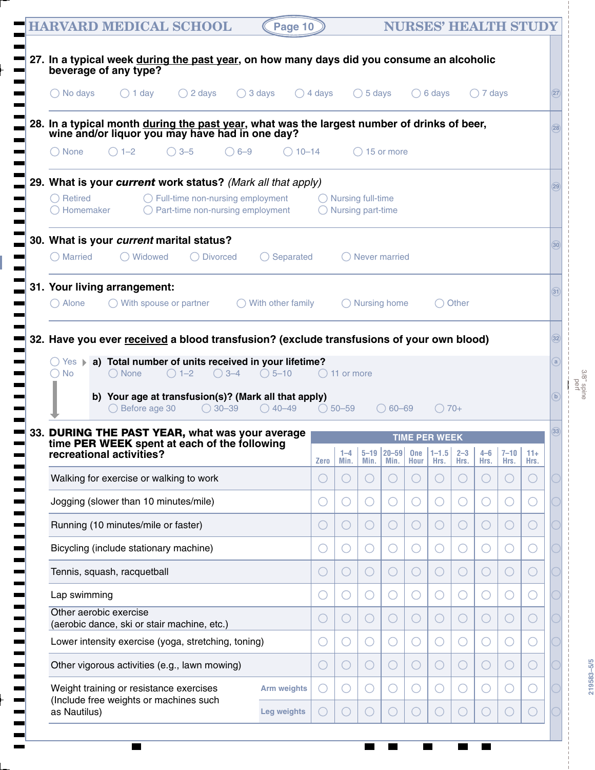| <b>HARVARD MEDICAL SCHOOL</b><br>Page 10                                                                                                                                                                                                               |                                                     |                                                              |                   | <b>NURSES' HEALTH STUDY</b> |           |                                                                                     |             |                   |               |                |  |
|--------------------------------------------------------------------------------------------------------------------------------------------------------------------------------------------------------------------------------------------------------|-----------------------------------------------------|--------------------------------------------------------------|-------------------|-----------------------------|-----------|-------------------------------------------------------------------------------------|-------------|-------------------|---------------|----------------|--|
| 27. In a typical week during the past year, on how many days did you consume an alcoholic<br>beverage of any type?                                                                                                                                     |                                                     |                                                              |                   |                             |           |                                                                                     |             |                   |               |                |  |
| $\bigcirc$ 3 days<br>$\bigcirc$ No days<br>$\bigcirc$ 1 day<br>$\bigcirc$ 2 days                                                                                                                                                                       | $\bigcirc$ 4 days                                   |                                                              | $\bigcirc$ 5 days |                             |           | $\bigcirc$ 6 days                                                                   |             | $\bigcirc$ 7 days |               |                |  |
|                                                                                                                                                                                                                                                        |                                                     |                                                              |                   |                             |           |                                                                                     |             |                   |               |                |  |
| 28. In a typical month during the past year, what was the largest number of drinks of beer,<br>wine and/or liquor you may have had in one day?                                                                                                         |                                                     |                                                              |                   |                             |           |                                                                                     |             |                   |               |                |  |
| $\bigcap$ None<br>$\bigcirc$ 1-2<br>$\bigcirc$ 3-5<br>$\bigcirc$ 6-9                                                                                                                                                                                   | $\bigcirc$ 10-14                                    |                                                              |                   | $\bigcirc$ 15 or more       |           |                                                                                     |             |                   |               |                |  |
| 29. What is your current work status? (Mark all that apply)                                                                                                                                                                                            |                                                     |                                                              |                   |                             |           |                                                                                     |             |                   |               |                |  |
| $\bigcirc$ Retired<br>$\bigcirc$ Full-time non-nursing employment<br>$\bigcirc$ Part-time non-nursing employment<br>$\bigcirc$ Homemaker                                                                                                               |                                                     | $\bigcirc$ Nursing full-time<br>$\bigcirc$ Nursing part-time |                   |                             |           |                                                                                     |             |                   |               |                |  |
| 30. What is your current marital status?                                                                                                                                                                                                               |                                                     |                                                              |                   |                             |           |                                                                                     |             |                   |               |                |  |
| ◯ Widowed<br>$\bigcirc$ Married<br>◯ Divorced<br>$\bigcirc$ Separated                                                                                                                                                                                  |                                                     |                                                              |                   | $\bigcap$ Never married     |           |                                                                                     |             |                   |               |                |  |
| 31. Your living arrangement:                                                                                                                                                                                                                           |                                                     |                                                              |                   |                             |           |                                                                                     |             |                   |               |                |  |
| $\bigcirc$ Alone<br>$\bigcirc$ With spouse or partner<br>With other family                                                                                                                                                                             |                                                     |                                                              |                   | $\bigcirc$ Nursing home     |           |                                                                                     | ◯ Other     |                   |               |                |  |
|                                                                                                                                                                                                                                                        |                                                     |                                                              |                   |                             |           |                                                                                     |             |                   |               |                |  |
|                                                                                                                                                                                                                                                        |                                                     |                                                              |                   |                             |           |                                                                                     |             |                   |               |                |  |
|                                                                                                                                                                                                                                                        |                                                     |                                                              |                   |                             |           |                                                                                     |             |                   |               |                |  |
| ○ Yes ▶ a) Total number of units received in your lifetime?<br>$\bigcirc$ 3-4<br>$\bigcirc$ None<br>$\bigcirc$ 1-2<br>$\bigcirc$ 5-10<br>$\bigcirc$ No                                                                                                 |                                                     | $\bigcirc$ 11 or more                                        |                   |                             |           |                                                                                     |             |                   |               |                |  |
| b) Your age at transfusion(s)? (Mark all that apply)<br>$\bigcirc$ Before age 30<br>$\bigcirc$ 30-39<br>$\bigcirc$ 40–49                                                                                                                               |                                                     | $\bigcirc$ 50-59                                             |                   | $\bigcirc$ 60–69            |           | $\bigcirc$ 70+                                                                      |             |                   |               |                |  |
|                                                                                                                                                                                                                                                        |                                                     |                                                              |                   |                             |           |                                                                                     |             |                   |               |                |  |
| time PER WEEK spent at each of the following<br>recreational activities?                                                                                                                                                                               |                                                     |                                                              |                   |                             |           | <b>TIME PER WEEK</b><br>  1-4   5-19   20-59   One   1-1.5   2-3   4-6   7-10   11+ |             |                   |               |                |  |
| Walking for exercise or walking to work                                                                                                                                                                                                                | <b>Zero</b><br>C                                    | Min.                                                         | Min.              | Min.<br>$(\ )$              | Hour<br>Œ | Hrs.<br>$(\ )$                                                                      | Hrs.<br>( ) | Hrs.<br>C         | Hrs.<br>(   ) | Hrs.<br>$(\ )$ |  |
| Jogging (slower than 10 minutes/mile)                                                                                                                                                                                                                  | 0                                                   |                                                              |                   | $\left(\cdot\right)$        |           | 0                                                                                   |             |                   |               | С.             |  |
| Running (10 minutes/mile or faster)                                                                                                                                                                                                                    | C                                                   |                                                              |                   | O                           | O         | $\left(\ \right)$                                                                   | ◯           | C                 |               | $(\ )$         |  |
| Bicycling (include stationary machine)                                                                                                                                                                                                                 | O                                                   |                                                              |                   | ( )                         |           | 0                                                                                   |             |                   |               | С.             |  |
| Tennis, squash, racquetball                                                                                                                                                                                                                            | C                                                   |                                                              |                   | O                           | 0         | $\left(\ \right)$                                                                   | $(\ )$      | C                 |               | $(\quad)$      |  |
| Lap swimming                                                                                                                                                                                                                                           | $\left( \begin{array}{c} \cdot \end{array} \right)$ |                                                              |                   | ( )                         |           | 0                                                                                   |             |                   |               | С.             |  |
| Other aerobic exercise<br>(aerobic dance, ski or stair machine, etc.)                                                                                                                                                                                  | $\overline{C}$                                      |                                                              |                   | $\left(\right)$             | 0         | $\left(\ \right)$                                                                   | $(\ )$      | C                 |               | $(\ )$         |  |
| Lower intensity exercise (yoga, stretching, toning)                                                                                                                                                                                                    | 0                                                   |                                                              |                   | ( )                         |           | 0                                                                                   |             |                   |               | С.             |  |
| Other vigorous activities (e.g., lawn mowing)                                                                                                                                                                                                          | $\bigcirc$                                          |                                                              |                   | $\left(\right)$             | 0         | $\left(\ \right)$                                                                   |             | C                 |               | $(\ )$         |  |
| 32. Have you ever received a blood transfusion? (exclude transfusions of your own blood)<br>33. DURING THE PAST YEAR, what was your average<br>Weight training or resistance exercises<br><b>Arm weights</b><br>(Include free weights or machines such |                                                     |                                                              |                   | ( )                         |           | 0                                                                                   |             |                   |               |                |  |

 $\overline{\phantom{a}}$ 

3/8" spine

**219583–5/5**

219583-5/5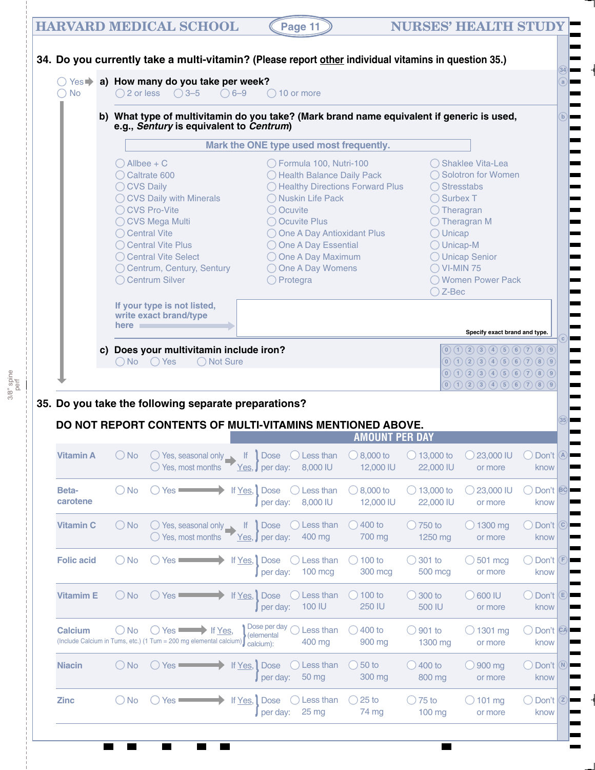#### **HARVARD MEDICAL SCHOOL (Page 11) NURSES' HEALTH STUDY**

3/8" spine

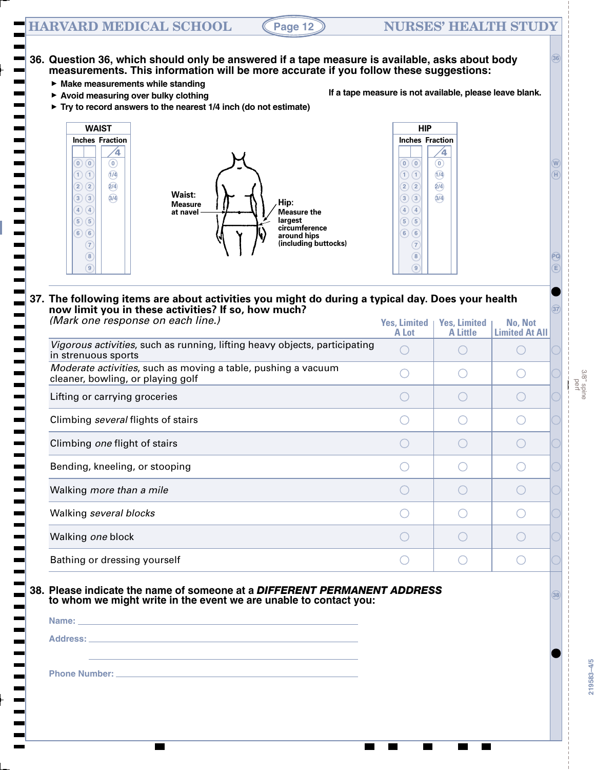#### **HARVARD MEDICAL SCHOOL (Page 12) NURSES' HEALTH STUDY**

### **36. Question 36, which should only be answered if a tape measure is available, asks about body measurements. This information will be more accurate if you follow these suggestions:**

- **Make measurements while standing**
- **Avoid measuring over bulky clothing**
- **If a tape measure is not available, please leave blank.**
- **Try to record answers to the nearest 1/4 inch (do not estimate)**



#### **37. The following items are about activities you might do during a typical day. Does your health now limit you in these activities? If so, how much?**  *(Mark one response on each line.)*

| (iviark one response on each line.)                                                                | <b>Yes, Limited</b><br>A Lot | <b>Yes, Limited</b><br><b>A Little</b> | No, Not<br><b>Limited At All</b> |  |
|----------------------------------------------------------------------------------------------------|------------------------------|----------------------------------------|----------------------------------|--|
| Vigorous activities, such as running, lifting heavy objects, participating<br>in strenuous sports  |                              |                                        |                                  |  |
| Moderate activities, such as moving a table, pushing a vacuum<br>cleaner, bowling, or playing golf |                              |                                        |                                  |  |
| Lifting or carrying groceries                                                                      |                              |                                        |                                  |  |
| Climbing <i>several</i> flights of stairs                                                          |                              |                                        |                                  |  |
| Climbing one flight of stairs                                                                      |                              |                                        |                                  |  |
| Bending, kneeling, or stooping                                                                     |                              |                                        |                                  |  |
| Walking more than a mile                                                                           |                              |                                        |                                  |  |
| Walking several blocks                                                                             |                              |                                        |                                  |  |
| Walking one block                                                                                  |                              |                                        |                                  |  |
| Bathing or dressing yourself                                                                       |                              |                                        |                                  |  |

# **38. Please indicate the name of someone at a** *DIFFERENT PERMANENT ADDRESS* **<sup>38</sup> to whom we might write in the event we are unable to contact you:**

| Name:    |  |  |
|----------|--|--|
| Address: |  |  |
|          |  |  |

**Phone Number:** 

 $\mathbf{I}$ 

**PQ**

**E**

**37**

**W H**

**36**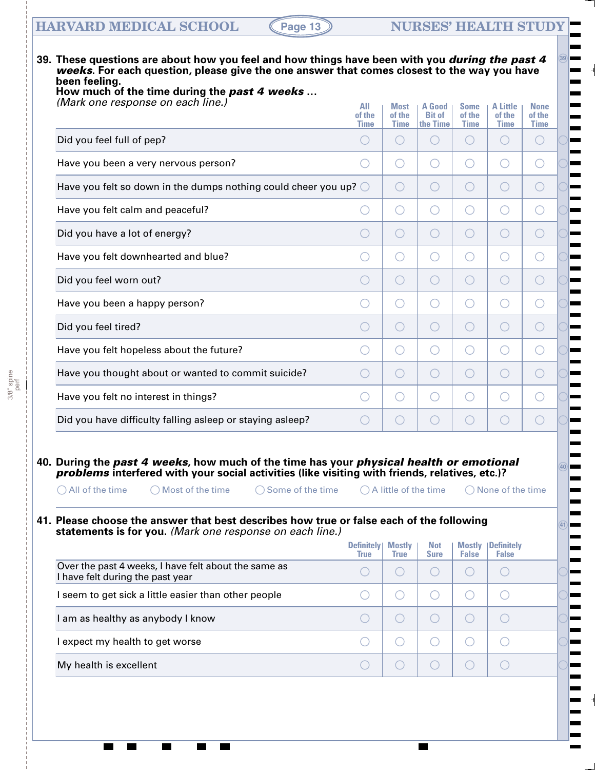# **HARVARD MEDICAL SCHOOL (Page 13) MURSES' HEALTH STUDY**

3/8" spine perf

▖

| (Mark one response on each line.)                                                                                                                                                                                                                                                                                                                                                                                                                                                                   | All<br>of the<br>Time            | <b>Most</b><br>of the<br><b>Time</b> | A Good<br><b>Bit of</b><br>the Time           | <b>Some</b><br>of the<br><b>Time</b>            | <b>A Little</b><br>of the<br><b>Time</b>    | <b>None</b><br>of the<br><b>Time</b>          |
|-----------------------------------------------------------------------------------------------------------------------------------------------------------------------------------------------------------------------------------------------------------------------------------------------------------------------------------------------------------------------------------------------------------------------------------------------------------------------------------------------------|----------------------------------|--------------------------------------|-----------------------------------------------|-------------------------------------------------|---------------------------------------------|-----------------------------------------------|
| Did you feel full of pep?                                                                                                                                                                                                                                                                                                                                                                                                                                                                           |                                  | ( )                                  | $\left( \begin{array}{c} \end{array} \right)$ | $\left( \begin{array}{c} \end{array} \right)$   | $(\ )$                                      | $\left( \quad \right)$                        |
| Have you been a very nervous person?                                                                                                                                                                                                                                                                                                                                                                                                                                                                | ( )                              | ( )                                  | O                                             | $\left(\begin{array}{c} \end{array}\right)$     | ( )                                         | $\left( \begin{array}{c} \end{array} \right)$ |
| Have you felt so down in the dumps nothing could cheer you up? $\bigcirc$                                                                                                                                                                                                                                                                                                                                                                                                                           |                                  | $\left(\ \right)$                    | O                                             | $\left( \begin{array}{c} \end{array} \right)$   | ( )                                         | $\bigcirc$                                    |
| Have you felt calm and peaceful?                                                                                                                                                                                                                                                                                                                                                                                                                                                                    |                                  | O                                    | O                                             | $\left(\begin{array}{c} \end{array}\right)$     | ( )                                         | ◯                                             |
| Did you have a lot of energy?                                                                                                                                                                                                                                                                                                                                                                                                                                                                       | $(\ )$                           | $\left(\ \right)$                    | O                                             | $\left( \begin{array}{c} \end{array} \right)$   | ( )                                         | $\bigcirc$                                    |
| Have you felt downhearted and blue?                                                                                                                                                                                                                                                                                                                                                                                                                                                                 |                                  | ( )                                  | O                                             | $\left(\begin{array}{c} \end{array}\right)$     | ( )                                         | ◯                                             |
| Did you feel worn out?                                                                                                                                                                                                                                                                                                                                                                                                                                                                              | $(\ )$                           | ( )                                  | O                                             | $\left( \begin{array}{c} \end{array} \right)$   | ( )                                         | $\bigcirc$                                    |
| Have you been a happy person?                                                                                                                                                                                                                                                                                                                                                                                                                                                                       |                                  | ( )                                  | O                                             | $\left(\begin{array}{c} \end{array}\right)$     | ( )                                         | ◯                                             |
| Did you feel tired?                                                                                                                                                                                                                                                                                                                                                                                                                                                                                 | $(\ )$                           | ( )                                  | O                                             | $\left( \begin{array}{c} \end{array} \right)$   | ( )                                         | $\bigcirc$                                    |
| Have you felt hopeless about the future?                                                                                                                                                                                                                                                                                                                                                                                                                                                            |                                  | ( )                                  | O                                             | $\left(\begin{array}{c} \end{array}\right)$     | ∩                                           | ◯                                             |
| Have you thought about or wanted to commit suicide?                                                                                                                                                                                                                                                                                                                                                                                                                                                 | $(\ )$                           | $(\ )$                               | O                                             | $\left(\begin{array}{c} \end{array}\right)$     | ○                                           | O                                             |
| Have you felt no interest in things?                                                                                                                                                                                                                                                                                                                                                                                                                                                                |                                  | ( )                                  | O                                             | $\left( \begin{array}{c} 1 \end{array} \right)$ | ( )                                         | ◯                                             |
| Did you have difficulty falling asleep or staying asleep?                                                                                                                                                                                                                                                                                                                                                                                                                                           | $(\ )$                           | $(\ )$                               | ○                                             | $(\ )$                                          |                                             | O                                             |
| 40. During the past 4 weeks, how much of the time has your physical health or emotional<br>problems interfered with your social activities (like visiting with friends, relatives, etc.)?<br>$\bigcirc$ All of the time $\bigcirc$ Most of the time $\bigcirc$ Some of the time $\bigcirc$ A little of the time $\bigcirc$ None of the time<br>41. Please choose the answer that best describes how true or false each of the following<br>statements is for you. (Mark one response on each line.) | <b>Definitely</b><br><b>True</b> | <b>Mostly</b><br><b>True</b>         | <b>Not</b><br><b>Sure</b>                     | <b>False</b>                                    | <b>Mostly Definitely</b><br><b>False</b>    |                                               |
|                                                                                                                                                                                                                                                                                                                                                                                                                                                                                                     | $(\ )$                           | ◯                                    | $\bigcirc$                                    | $( \ )$                                         | $\bigcirc$                                  |                                               |
| Over the past 4 weeks, I have felt about the same as<br>I have felt during the past year                                                                                                                                                                                                                                                                                                                                                                                                            |                                  | O                                    | O                                             | ( )                                             | $(\ )$                                      |                                               |
| I seem to get sick a little easier than other people                                                                                                                                                                                                                                                                                                                                                                                                                                                | ( )                              |                                      | $\bigcirc$                                    | $\bigcirc$                                      | $\left(\begin{array}{c} \end{array}\right)$ |                                               |
|                                                                                                                                                                                                                                                                                                                                                                                                                                                                                                     | O                                | O                                    |                                               |                                                 |                                             |                                               |
| I am as healthy as anybody I know<br>I expect my health to get worse                                                                                                                                                                                                                                                                                                                                                                                                                                | ◯                                | O                                    | O                                             | ( )                                             | $(\ )$                                      |                                               |

 $\blacksquare$ 

 $\blacksquare$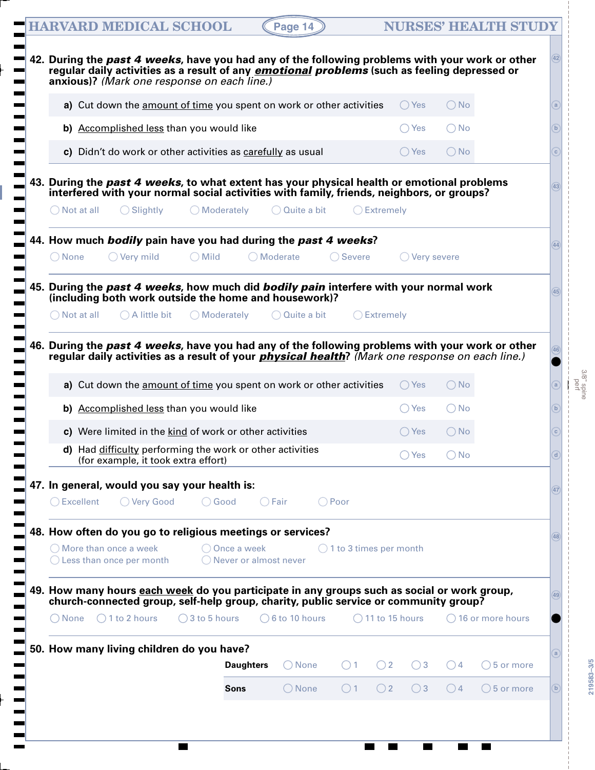|     |                       |  |                                 |                                                              |                         |                 |                  |                                                             |                                                                      |                           | 42. During the past 4 weeks, have you had any of the following problems with your work or other        |               |                             |                      | (42)               |
|-----|-----------------------|--|---------------------------------|--------------------------------------------------------------|-------------------------|-----------------|------------------|-------------------------------------------------------------|----------------------------------------------------------------------|---------------------------|--------------------------------------------------------------------------------------------------------|---------------|-----------------------------|----------------------|--------------------|
|     |                       |  |                                 | anxious)? (Mark one response on each line.)                  |                         |                 |                  |                                                             |                                                                      |                           | regular daily activities as a result of any <i>emotional problems</i> (such as feeling depressed or    |               |                             |                      |                    |
|     |                       |  |                                 |                                                              |                         |                 |                  |                                                             | a) Cut down the amount of time you spent on work or other activities |                           | $\bigcirc$ Yes                                                                                         | $\bigcirc$ No |                             |                      | a                  |
|     |                       |  |                                 | b) Accomplished less than you would like                     |                         |                 |                  |                                                             |                                                                      |                           | $\bigcirc$ Yes                                                                                         | $\bigcirc$ No |                             |                      | $\mathbf{b}$       |
|     |                       |  |                                 |                                                              |                         |                 |                  | c) Didn't do work or other activities as carefully as usual |                                                                      |                           | $\bigcirc$ Yes                                                                                         | $\bigcirc$ No |                             |                      | $\mathbf{c}$       |
|     |                       |  |                                 |                                                              |                         |                 |                  |                                                             |                                                                      |                           | 43. During the past 4 weeks, to what extent has your physical health or emotional problems             |               |                             |                      |                    |
|     |                       |  |                                 |                                                              |                         |                 |                  |                                                             |                                                                      |                           | interfered with your normal social activities with family, friends, neighbors, or groups?              |               |                             |                      | (43)               |
|     | $\bigcirc$ Not at all |  |                                 | $\bigcirc$ Slightly                                          |                         | ◯ Moderately    |                  | $\bigcirc$ Quite a bit                                      |                                                                      | $\bigcirc$ Extremely      |                                                                                                        |               |                             |                      |                    |
|     |                       |  |                                 |                                                              |                         |                 |                  |                                                             | 44. How much bodily pain have you had during the past 4 weeks?       |                           |                                                                                                        |               |                             |                      | (44)               |
|     | $\bigcirc$ None       |  |                                 | $\bigcirc$ Very mild                                         | $\bigcirc$ Mild         |                 |                  | ◯ Moderate                                                  | $\bigcirc$ Severe                                                    |                           | $\bigcirc$ Very severe                                                                                 |               |                             |                      |                    |
|     |                       |  |                                 |                                                              |                         |                 |                  |                                                             |                                                                      |                           | 45. During the past 4 weeks, how much did bodily pain interfere with your normal work                  |               |                             |                      | (45)               |
|     |                       |  |                                 |                                                              |                         |                 |                  | (including both work outside the home and housework)?       |                                                                      |                           |                                                                                                        |               |                             |                      |                    |
|     | ( ) Not at all        |  |                                 | $\bigcirc$ A little bit                                      |                         |                 |                  | ○ Moderately ○ Quite a bit                                  |                                                                      | $\bigcirc$ Extremely      |                                                                                                        |               |                             |                      |                    |
| 46. |                       |  |                                 |                                                              |                         |                 |                  |                                                             |                                                                      |                           | During the past 4 weeks, have you had any of the following problems with your work or other            |               |                             |                      |                    |
|     |                       |  |                                 |                                                              |                         |                 |                  |                                                             |                                                                      |                           | regular daily activities as a result of your <i>physical health?</i> (Mark one response on each line.) |               |                             |                      |                    |
|     |                       |  |                                 |                                                              |                         |                 |                  |                                                             | a) Cut down the amount of time you spent on work or other activities |                           | $\bigcirc$ Yes                                                                                         | $\bigcirc$ No |                             |                      | a                  |
|     |                       |  |                                 | b) Accomplished less than you would like                     |                         |                 |                  |                                                             |                                                                      |                           | $\bigcirc$ Yes                                                                                         | $\bigcirc$ No |                             |                      | $\mathbf{b}$       |
|     |                       |  |                                 |                                                              |                         |                 |                  |                                                             |                                                                      |                           |                                                                                                        |               |                             |                      |                    |
|     |                       |  |                                 |                                                              |                         |                 |                  | c) Were limited in the kind of work or other activities     |                                                                      |                           | $\bigcirc$ Yes                                                                                         | $\bigcirc$ No |                             |                      | $\mathbf{c}$       |
|     |                       |  |                                 | (for example, it took extra effort)                          |                         |                 |                  | d) Had difficulty performing the work or other activities   |                                                                      |                           | $\bigcirc$ Yes                                                                                         | $\bigcirc$ No |                             |                      | $\left[ d \right]$ |
|     |                       |  |                                 |                                                              |                         |                 |                  |                                                             |                                                                      |                           |                                                                                                        |               |                             |                      |                    |
|     | $\bigcirc$ Excellent  |  |                                 | 47. In general, would you say your health is:<br>◯ Very Good |                         | $\bigcirc$ Good |                  | $\bigcirc$ Fair                                             | $\bigcap$ Poor                                                       |                           |                                                                                                        |               |                             |                      | (47)               |
|     |                       |  |                                 |                                                              |                         |                 |                  |                                                             |                                                                      |                           |                                                                                                        |               |                             |                      |                    |
|     |                       |  | $\bigcap$ More than once a week |                                                              |                         | ◯ Once a week   |                  | 48. How often do you go to religious meetings or services?  | $\bigcirc$ 1 to 3 times per month                                    |                           |                                                                                                        |               |                             |                      | (48)               |
|     |                       |  |                                 | $\bigcirc$ Less than once per month                          |                         |                 |                  | $\bigcirc$ Never or almost never                            |                                                                      |                           |                                                                                                        |               |                             |                      |                    |
|     |                       |  |                                 |                                                              |                         |                 |                  |                                                             |                                                                      |                           | 49. How many hours each week do you participate in any groups such as social or work group,            |               |                             |                      |                    |
|     |                       |  |                                 |                                                              |                         |                 |                  |                                                             |                                                                      |                           | church-connected group, self-help group, charity, public service or community group?                   |               |                             |                      | (49)               |
|     | $\bigcap$ None        |  | $\bigcirc$ 1 to 2 hours         |                                                              | $\bigcirc$ 3 to 5 hours |                 |                  | $\bigcirc$ 6 to 10 hours                                    |                                                                      | $\bigcirc$ 11 to 15 hours |                                                                                                        |               | $\bigcirc$ 16 or more hours |                      |                    |
|     |                       |  |                                 | 50. How many living children do you have?                    |                         |                 |                  |                                                             |                                                                      |                           |                                                                                                        |               |                             |                      | $\left(a\right)$   |
|     |                       |  |                                 |                                                              |                         |                 | <b>Daughters</b> | $\bigcirc$ None                                             | ()1                                                                  | $\bigcirc$ 2              | $\bigcirc$ 3                                                                                           | ()4           |                             | $\bigcirc$ 5 or more |                    |

 $\overline{\phantom{0}}$ 

 $\blacksquare$ 

 $\blacksquare$ 

 $\blacksquare$ 

 $\overline{\phantom{0}}$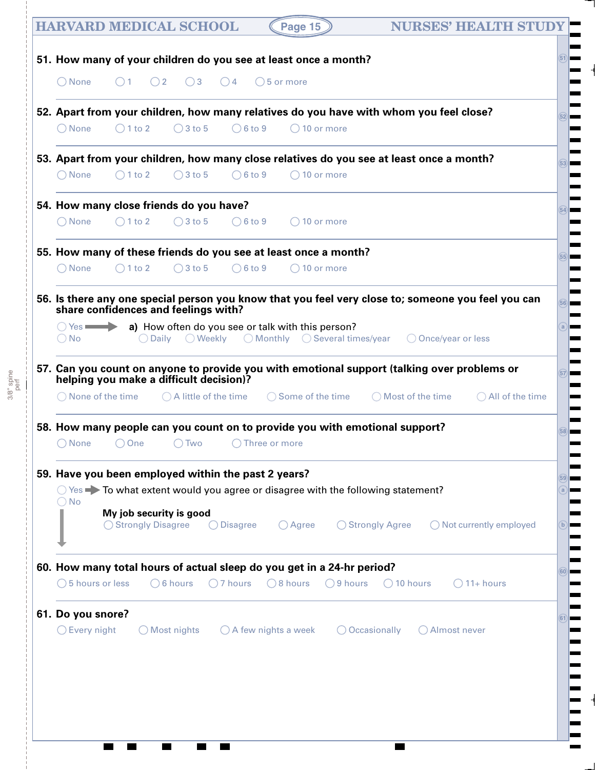| <b>HARVARD MEDICAL SCHOOL</b><br>Page 15                                                                                                          | <b>NURSES' HEALTH STUD</b>        |
|---------------------------------------------------------------------------------------------------------------------------------------------------|-----------------------------------|
| 51. How many of your children do you see at least once a month?                                                                                   |                                   |
| $\bigcirc$ 3 $\bigcirc$ 4 $\bigcirc$ 5 or more<br>$\bigcirc$ None<br>$\bigcirc$ 2<br>()1                                                          |                                   |
| 52. Apart from your children, how many relatives do you have with whom you feel close?                                                            |                                   |
| $\bigcirc$ 3 to 5<br>$\bigcirc$ 6 to 9<br>$\bigcirc$ None<br>$\bigcirc$ 1 to 2<br>$\bigcirc$ 10 or more                                           |                                   |
| 53. Apart from your children, how many close relatives do you see at least once a month?                                                          |                                   |
| $\bigcirc$ None<br>$\bigcirc$ 3 to 5<br>$\bigcirc$ 6 to 9<br>$\bigcirc$ 1 to 2<br>$\bigcirc$ 10 or more                                           |                                   |
| 54. How many close friends do you have?                                                                                                           |                                   |
| $\bigcirc$ None<br>$\bigcirc$ 1 to 2<br>$\bigcirc$ 3 to 5<br>$\bigcirc$ 6 to 9<br>$( ) 10$ or more                                                |                                   |
| 55. How many of these friends do you see at least once a month?                                                                                   |                                   |
| $\bigcirc$ None<br>$\bigcirc$ 1 to 2<br>$\bigcirc$ 3 to 5<br>$\bigcirc$ 6 to 9<br>$\bigcirc$ 10 or more                                           |                                   |
| 56. Is there any one special person you know that you feel very close to; someone you feel you can<br>share confidences and feelings with?        |                                   |
| $\bigcirc$ Yes $\longrightarrow$ a) How often do you see or talk with this person?                                                                |                                   |
| $\bigcirc$ Daily $\bigcirc$ Weekly $\bigcirc$ Monthly $\bigcirc$ Several times/year $\bigcirc$ Once/year or less<br>$\bigcirc$ No                 |                                   |
| 57. Can you count on anyone to provide you with emotional support (talking over problems or<br>helping you make a difficult decision)?            |                                   |
| $\bigcirc$ A little of the time $\bigcirc$ Some of the time $\bigcirc$ Most of the time $\bigcirc$ All of the time<br>$\bigcirc$ None of the time |                                   |
| 58. How many people can you count on to provide you with emotional support?                                                                       |                                   |
| $\bigcirc$ None<br>$\bigcirc$ Two<br>$\bigcirc$ One<br>Three or more                                                                              |                                   |
| 59. Have you been employed within the past 2 years?                                                                                               |                                   |
| $\bigcirc$ Yes $\blacktriangleright$ To what extent would you agree or disagree with the following statement?<br>$\bigcirc$ No                    |                                   |
| My job security is good<br>◯ Strongly Disagree<br>$\bigcirc$ Strongly Agree<br>$\bigcirc$ Disagree<br>$\bigcirc$ Agree                            | $\bigcirc$ Not currently employed |
| 60. How many total hours of actual sleep do you get in a 24-hr period?                                                                            |                                   |
| $\bigcirc$ 5 hours or less<br>$\bigcirc$ 8 hours<br>$\bigcirc$ 9 hours<br>$\bigcirc$ 10 hours<br>$\bigcirc$ 6 hours<br>$\bigcirc$ 7 hours         | $\bigcirc$ 11+ hours              |
| 61. Do you snore?                                                                                                                                 |                                   |
| $\bigcirc$ Every night<br>$\bigcirc$ A few nights a week<br>$\bigcirc$ Occasionally<br>$\bigcirc$ Most nights<br>○ Almost never                   |                                   |
|                                                                                                                                                   |                                   |
|                                                                                                                                                   |                                   |
|                                                                                                                                                   |                                   |
|                                                                                                                                                   |                                   |
|                                                                                                                                                   |                                   |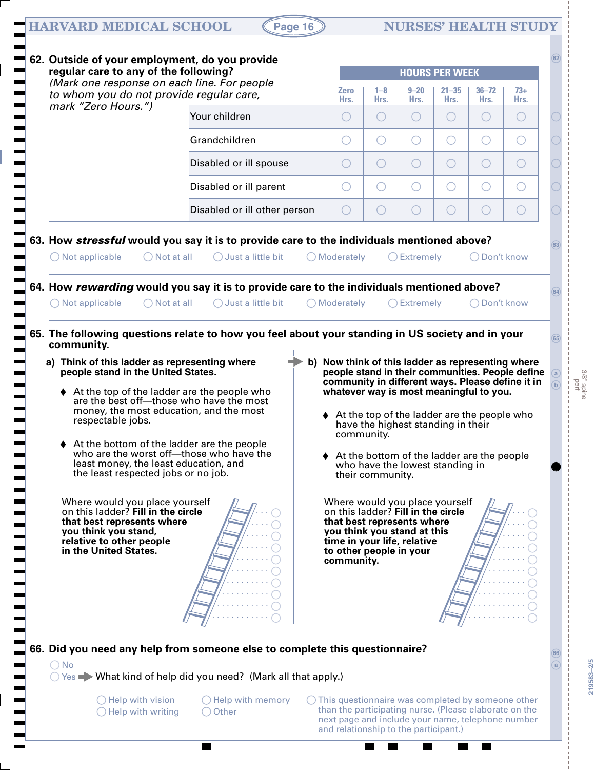# $HARVARD MEDICAL SCHOOL$   $(Page 16)$

**219583–2/5**

219583-2/5

| regular care to any of the following?                                                                                                                                                                                                                                                                                                                                                                                                                                                                                                                                                                                                     |                              |                                                                                                                                                                                                                                                                                                                                                                                                                                                                                                                                                      |                 |                                                                       | <b>HOURS PER WEEK</b> |                        |                      |      |
|-------------------------------------------------------------------------------------------------------------------------------------------------------------------------------------------------------------------------------------------------------------------------------------------------------------------------------------------------------------------------------------------------------------------------------------------------------------------------------------------------------------------------------------------------------------------------------------------------------------------------------------------|------------------------------|------------------------------------------------------------------------------------------------------------------------------------------------------------------------------------------------------------------------------------------------------------------------------------------------------------------------------------------------------------------------------------------------------------------------------------------------------------------------------------------------------------------------------------------------------|-----------------|-----------------------------------------------------------------------|-----------------------|------------------------|----------------------|------|
| (Mark one response on each line. For people<br>to whom you do not provide regular care,                                                                                                                                                                                                                                                                                                                                                                                                                                                                                                                                                   |                              | <b>Zero</b><br>Hrs.                                                                                                                                                                                                                                                                                                                                                                                                                                                                                                                                  | $1 - 8$<br>Hrs. | $9 - 20$<br>Hrs.                                                      | $21 - 35$<br>Hrs.     | $36 - 72$<br>Hrs.      | $73+$<br>Hrs.        |      |
| mark "Zero Hours.")                                                                                                                                                                                                                                                                                                                                                                                                                                                                                                                                                                                                                       | Your children                |                                                                                                                                                                                                                                                                                                                                                                                                                                                                                                                                                      | $\bigcirc$      | $\left( \begin{array}{c} \end{array} \right)$                         | ( )                   | $\left( \quad \right)$ | $\bigcirc$           |      |
|                                                                                                                                                                                                                                                                                                                                                                                                                                                                                                                                                                                                                                           | Grandchildren                |                                                                                                                                                                                                                                                                                                                                                                                                                                                                                                                                                      | ( )             | $\left(\cdot\right)$                                                  |                       | ( )                    | $\left(\cdot\right)$ |      |
|                                                                                                                                                                                                                                                                                                                                                                                                                                                                                                                                                                                                                                           | Disabled or ill spouse       | $\left( \quad \right)$                                                                                                                                                                                                                                                                                                                                                                                                                                                                                                                               | O               | O                                                                     | ◯                     | ◯                      | O                    |      |
|                                                                                                                                                                                                                                                                                                                                                                                                                                                                                                                                                                                                                                           | Disabled or ill parent       | $\left( \begin{array}{c} \end{array} \right)$                                                                                                                                                                                                                                                                                                                                                                                                                                                                                                        | O               | O                                                                     |                       | ( )                    | $(\ )$               |      |
|                                                                                                                                                                                                                                                                                                                                                                                                                                                                                                                                                                                                                                           | Disabled or ill other person | ( )                                                                                                                                                                                                                                                                                                                                                                                                                                                                                                                                                  | ○               | ○                                                                     |                       | $(\ )$                 | ○                    |      |
| 63. How stressful would you say it is to provide care to the individuals mentioned above?                                                                                                                                                                                                                                                                                                                                                                                                                                                                                                                                                 |                              |                                                                                                                                                                                                                                                                                                                                                                                                                                                                                                                                                      |                 |                                                                       |                       |                        |                      |      |
| $\bigcirc$ Not applicable<br>$\bigcap$ Not at all                                                                                                                                                                                                                                                                                                                                                                                                                                                                                                                                                                                         | $\bigcirc$ Just a little bit | $\bigcirc$ Moderately                                                                                                                                                                                                                                                                                                                                                                                                                                                                                                                                |                 | $O$ Extremely                                                         |                       | ◯ Don't know           |                      | 63   |
| 64. How rewarding would you say it is to provide care to the individuals mentioned above?                                                                                                                                                                                                                                                                                                                                                                                                                                                                                                                                                 |                              |                                                                                                                                                                                                                                                                                                                                                                                                                                                                                                                                                      |                 |                                                                       |                       |                        |                      |      |
| $\bigcirc$ Not applicable<br>$\bigcirc$ Not at all                                                                                                                                                                                                                                                                                                                                                                                                                                                                                                                                                                                        | $\bigcirc$ Just a little bit | $\bigcirc$ Moderately                                                                                                                                                                                                                                                                                                                                                                                                                                                                                                                                |                 | $O$ Extremely                                                         |                       | ◯ Don't know           |                      | (64) |
| community.<br>a) Think of this ladder as representing where<br>people stand in the United States.<br>$\blacklozenge$ At the top of the ladder are the people who<br>are the best off-those who have the most<br>money, the most education, and the most<br>respectable jobs.<br>At the bottom of the ladder are the people<br>who are the worst off-those who have the<br>least money, the least education, and<br>the least respected jobs or no job.<br>Where would you place yourself<br>on this ladder? Fill in the circle<br>that best represents where<br>you think you stand,<br>relative to other people<br>in the United States. |                              | b) Now think of this ladder as representing where<br>people stand in their communities. People define<br>community in different ways. Please define it in<br>whatever way is most meaningful to you.<br>♦ At the top of the ladder are the people who<br>community.<br>♦ At the bottom of the ladder are the people<br>their community.<br>Where would you place yourself<br>on this ladder? Fill in the circle<br>that best represents where<br>you think you stand at this<br>time in your life, relative<br>to other people in your<br>community. |                 | have the highest standing in their<br>who have the lowest standing in |                       |                        |                      |      |
| 66. Did you need any help from someone else to complete this questionnaire?<br>$\bigcirc$ No<br>○ Yes → What kind of help did you need? (Mark all that apply.)<br>$\bigcirc$ Help with vision                                                                                                                                                                                                                                                                                                                                                                                                                                             | $\bigcirc$ Help with memory  | This questionnaire was completed by someone other                                                                                                                                                                                                                                                                                                                                                                                                                                                                                                    |                 |                                                                       |                       |                        |                      | 66   |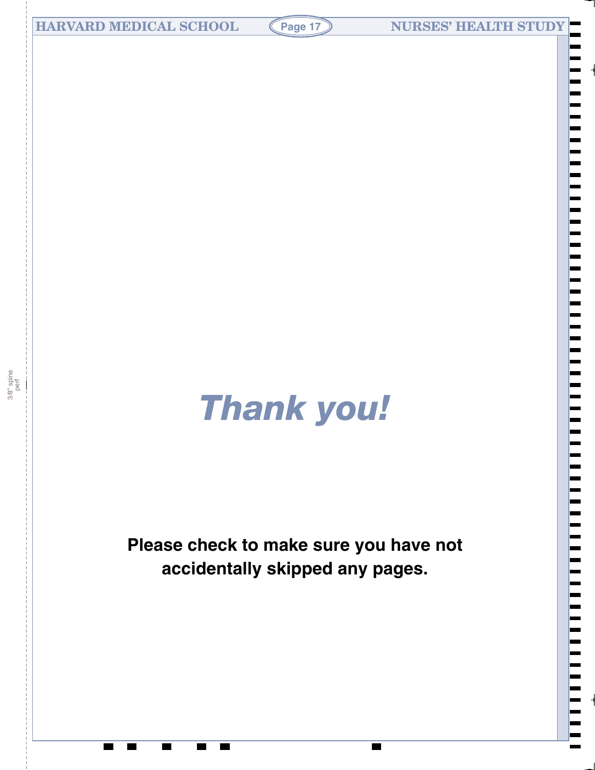# *Thank you!*

# **Please check to make sure you have not accidentally skipped any pages.**